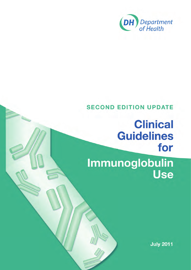

# **SECOND EDITION UPDATE**

# **Clinical Guidelines** for Immunoglobulin **Use**

**July 2011**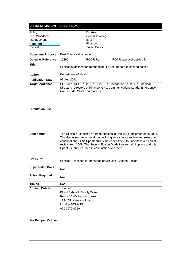#### **DH INFORMATION READER BOX**

| Policy<br>HR / Workforce   |                                                                                                                                | Estates                 |                                                                                                                                                                                                                                                                                                                |
|----------------------------|--------------------------------------------------------------------------------------------------------------------------------|-------------------------|----------------------------------------------------------------------------------------------------------------------------------------------------------------------------------------------------------------------------------------------------------------------------------------------------------------|
| Management                 |                                                                                                                                | Commissioning<br>IM & T |                                                                                                                                                                                                                                                                                                                |
| Planning /                 |                                                                                                                                | Finance                 |                                                                                                                                                                                                                                                                                                                |
| Clinical                   |                                                                                                                                | Social Care /           |                                                                                                                                                                                                                                                                                                                |
|                            |                                                                                                                                |                         |                                                                                                                                                                                                                                                                                                                |
| <b>Document Purpose</b>    | <b>Best Practice Guidance</b>                                                                                                  |                         |                                                                                                                                                                                                                                                                                                                |
| <b>Gateway Reference</b>   | 16290                                                                                                                          | <b>ROCR Ref:</b>        | ROCR approval applied for                                                                                                                                                                                                                                                                                      |
| <b>Title</b>               |                                                                                                                                |                         | Clinical guidelines for immunoglobulin use: update to second edition                                                                                                                                                                                                                                           |
| <b>Author</b>              | Department of Health                                                                                                           |                         |                                                                                                                                                                                                                                                                                                                |
| <b>Publication Date</b>    | 01 Aug 2011                                                                                                                    |                         |                                                                                                                                                                                                                                                                                                                |
| <b>Target Audience</b>     | Care Leads, Chief Pharmacists                                                                                                  |                         | PCT CEs, NHS Trust CEs, SHA CEs, Foundation Trust CEs, Medical<br>Directors, Directors of Finance, GPs, Communications Leads, Emergency                                                                                                                                                                        |
| <b>Circulation List</b>    |                                                                                                                                |                         |                                                                                                                                                                                                                                                                                                                |
| <b>Description</b>         | Update should be used in conjunction with them.                                                                                |                         | The Clinical Guidelines for Immunoglobulin Use were implemented in 2008.<br>The Guidelines were developed utilising an evidence review and extensive<br>consultations. This Update fulfills the commitment to undertake a biennial<br>review from 2009. The Second Edition Guidelines remain in place and this |
| <b>Cross Ref</b>           |                                                                                                                                |                         | Clinical Guidelines for Immunoglobulin Use (Second Edition)                                                                                                                                                                                                                                                    |
| <b>Superseded Docs</b>     | N/A                                                                                                                            |                         |                                                                                                                                                                                                                                                                                                                |
| <b>Action Required</b>     | N/A                                                                                                                            |                         |                                                                                                                                                                                                                                                                                                                |
| <b>Timing</b>              | N/A                                                                                                                            |                         |                                                                                                                                                                                                                                                                                                                |
| <b>Contact Details</b>     | Tina Lee<br>Blood Safety & Supply Team<br>Room 30 Wellington House<br>133-155 Waterloo Road<br>London SE1 8UG<br>020 7972 4750 |                         |                                                                                                                                                                                                                                                                                                                |
| <b>For Recipient's Use</b> |                                                                                                                                |                         |                                                                                                                                                                                                                                                                                                                |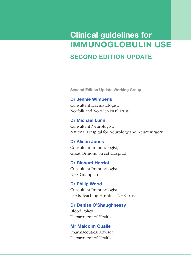# **Clinical guidelines for IMMUNOGLOBULIN Use SECOND EDITION UPDATE**

**Second Edition Update Working Group** 

#### **Dr Jennie Wimperis**

Consultant Haematologist, Norfolk and Norwich NHS Trust

#### **Dr Michael Lunn**

Consultant Neurologist, National Hospital for Neurology and Neurosurgery

**Dr Alison Jones** Consultant Immunologist, Great Ormond Street Hospital

#### **Dr Richard Herriot** Consultant Immunologist,

NHS Grampian

#### **Dr Philip Wood** Consultant Immunologist, Leeds Teaching Hospitals NHS Trust

## **Dr Denise O'Shaughnessy**

Blood Policy, Department of Health

#### **Mr Malcolm Qualie**

Pharmaceutical Advisor Department of Health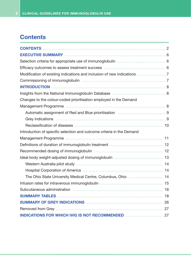## **Contents**

| Changes to the colour-coded prioritisation employed in the Demand                             |    |
|-----------------------------------------------------------------------------------------------|----|
|                                                                                               |    |
| Automatic assignment of Red and Blue prioritisation <b>construents and State assignment</b> 9 |    |
|                                                                                               |    |
|                                                                                               |    |
| Introduction of specific selection and outcome criteria in the Demand                         |    |
|                                                                                               |    |
|                                                                                               |    |
|                                                                                               |    |
|                                                                                               |    |
|                                                                                               |    |
|                                                                                               |    |
|                                                                                               |    |
| The Ohio State University Medical Centre, Columbus, Ohio  14                                  |    |
|                                                                                               |    |
|                                                                                               | 16 |
| <b>SUMMARY TABLES</b>                                                                         | 18 |
|                                                                                               |    |
|                                                                                               |    |
|                                                                                               |    |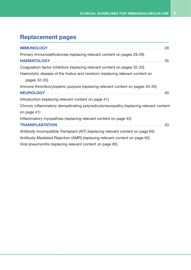# **Replacement pages**

| 29                                                                                    |  |
|---------------------------------------------------------------------------------------|--|
| Primary immunodeficiencies (replacing relevant content on pages 28-29)                |  |
| 35                                                                                    |  |
| Coagulation factor inhibitors (replacing relevant content on pages 32-33)             |  |
| Haemolytic disease of the foetus and newborn (replacing relevant content on           |  |
| pages 32-33)                                                                          |  |
| Immune thrombocytopenic purpura (replacing relevant content on pages 34-35)           |  |
| 40                                                                                    |  |
| Introduction (replacing relevant content on page 41)                                  |  |
| Chronic inflammatory demyelinating polyradiculoneuropathy (replacing relevant content |  |
| on page 41)                                                                           |  |
| Inflammatory myopathies (replacing relevant content on page 42)                       |  |
| <b>TRANSPLANTATION</b><br>43                                                          |  |
| Antibody Incompatible Transplant (AIT) (replacing relevant content on page 65)        |  |
| Antibody-Mediated Rejection (AMR) (replacing relevant content on page 65)             |  |
| Viral pneumonitis (replacing relevant content on page 65)                             |  |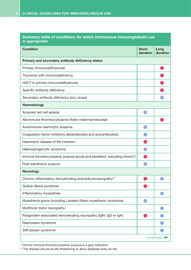|                       | Summary table of conditions for which intravenous immunoglobulin use |  |  |  |
|-----------------------|----------------------------------------------------------------------|--|--|--|
| <i>is appropriate</i> |                                                                      |  |  |  |

| <b>Condition</b>                                                           | <b>Short</b><br>duration | Long<br>duration |
|----------------------------------------------------------------------------|--------------------------|------------------|
| Primary and secondary antibody deficiency states                           |                          |                  |
| Primary immunodeficiencies                                                 |                          |                  |
| Thymoma with immunodeficiency                                              |                          |                  |
| HSCT in primary immunodeficiencies                                         |                          |                  |
| Specific antibody deficiency                                               |                          |                  |
| Secondary antibody deficiency (any cause)                                  |                          |                  |
| Haematology                                                                |                          |                  |
| Acquired red cell aplasia                                                  |                          |                  |
| Alloimmune thrombocytopenia (foeto-maternal/neonatal)                      |                          |                  |
| Autoimmune haemolytic anaemia                                              |                          |                  |
| Coagulation factor inhibitors (alloantibodies and autoantibodies)          |                          |                  |
| Haemolytic disease of the newborn                                          |                          |                  |
| Haemophagocytic syndrome                                                   |                          |                  |
| Immune thrombocytopenic purpura (acute and persistent, excluding chronic*) |                          |                  |
| Post-transfusion purpura                                                   |                          |                  |
| <b>Neurology</b>                                                           |                          |                  |
| Chronic inflammatory demyelinating polyradiculoneuropathy**                |                          |                  |
| Guillain-Barré syndrome                                                    |                          |                  |
| Inflammatory myopathies                                                    |                          |                  |
| Myasthenia gravis (including Lambert-Eaton myasthenic syndrome)            |                          |                  |
| Multifocal motor neuropathy                                                |                          |                  |
| Paraprotein-associated demyelinating neuropathy (IgM, IgG or IgA)          |                          |                  |
| Rasmussen syndrome                                                         |                          |                  |
| Stiff person syndrome                                                      |                          |                  |
|                                                                            |                          | continued        |

\* Chronic immune thrombocytopenic purpura is a grey indication

\*\* The disease should be life-threatening to allow database entry as red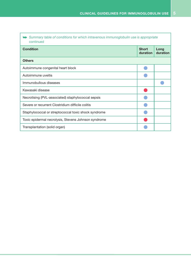| Summary table of conditions for which intravenous immunoglobulin use is appropriate<br>continued |                          |                  |
|--------------------------------------------------------------------------------------------------|--------------------------|------------------|
| <b>Condition</b>                                                                                 | <b>Short</b><br>duration | Long<br>duration |
| <b>Others</b>                                                                                    |                          |                  |
| Autoimmune congenital heart block                                                                |                          |                  |
| Autoimmune uveitis                                                                               |                          |                  |
| Immunobullous diseases                                                                           |                          |                  |
| Kawasaki disease                                                                                 |                          |                  |
| Necrotising (PVL-associated) staphylococcal sepsis                                               |                          |                  |
| Severe or recurrent Clostridium difficile colitis                                                |                          |                  |
| Staphylococcal or streptococcal toxic shock syndrome                                             |                          |                  |
| Toxic epidermal necrolysis, Stevens Johnson syndrome                                             |                          |                  |
| Transplantation (solid organ)                                                                    |                          |                  |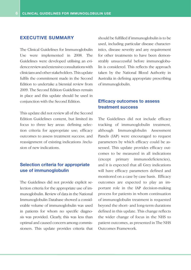#### **EXECUTIVE SUMMARY**

The Clinical Guidelines for Immunoglobulin Use were implemented in 2008. The Guidelines were developed utilising an evidence review and extensive consultations with clinicians and other stakeholders. This update fulfils the commitment made in the Second Edition to undertake a biennial review from 2009. The Second Edition Guidelines remain in place and this update should be used in conjunction with the Second Edition.

This update did not review all of the Second Edition Guidelines content, but limited its focus to three key areas: defining selection criteria for appropriate use; efficacy outcomes to assess treatment success; and reassignment of existing indications /inclusion of new indications.

#### **Selection criteria for appropriate use of immunoglobulin**

The Guidelines did not provide explicit selection criteria for the appropriate use of immunoglobulin. Review of data in the National Immunoglobulin Database showed a considerable volume of immunoglobulin was used in patients for whom no specific diagnosis was provided. Clearly, this was less than optimal and caused concern among commissioners. This update provides criteria that should be fulfilled if immunoglobulin is to be used, including particular disease characteristics, disease severity and any requirement for other treatments to have been demonstrably unsuccessful before immunoglobulin is considered. This reflects the approach taken by the National Blood Authority in Australia in defining appropriate prescribing of immunoglobulin.

#### **Efficacy outcomes to assess treatment success**

The Guidelines did not include efficacy tracking of immunoglobulin treatment, although Immunoglobulin Assessment Panels (IAP) were encouraged to request parameters by which efficacy could be assessed. This update provides efficacy outcomes to be measured in all indications (except primary immunodeficiencies), and it is expected that all Grey indications will have efficacy parameters defined and monitored on a case by case basis. Efficacy outcomes are expected to play an important role in the IAP decision-making process for patients in whom continuation of immunoglobulin treatment is requested beyond the short- and long-term durations defined in this update. This change reflects the wider change of focus in the NHS to patient outcomes, as presented in The NHS Outcomes Framework.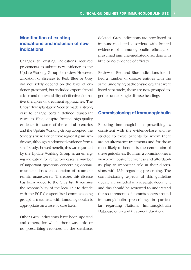#### **Modification of existing indications and inclusion of new indications**

Changes to existing indications required proponents to submit new evidence to the Update Working Group for review. However, allocation of diseases to Red, Blue or Grey did not solely depend on the level of evidence presented, but included expert clinical advice and the availability of effective alternative therapies or treatment approaches. The British Transplantation Society made a strong case to change certain defined transplant cases to Blue, despite limited high-quality evidence for some of the clinical scenarios and the Update Working Group accepted the Society's view. For chronic regional pain syndrome, although randomised evidence from a small study showed benefit, this was regarded by the Update Working Group as an emerging indication for refractory cases; a number of important questions concerning optimal treatment doses and duration of treatment remain unanswered. Therefore, this disease has been added to the Grey list. It remains the responsibility of the local IAP to decide with the PCT (or specialised commissioning group) if treatment with immunoglobulin is appropriate on a case by case basis.

Other Grey indications have been updated and others, for which there was little or no prescribing recorded in the database,

deleted. Grey indications are now listed as immune-mediated disorders with limited evidence of immunoglobulin efficacy, or presumed immune-mediated disorders with little or no evidence of efficacy.

Review of Red and Blue indications identified a number of disease entities with the same underlying pathophysiology that were listed separately; these are now grouped together under single disease headings.

#### **Commissioning of immunoglobulin**

Ensuring immunoglobulin prescribing is consistent with the evidence-base and restricted to those patients for whom there are no alternative treatments and for those most likely to benefit is the central aim of these guidelines. But from a commissioner's viewpoint, cost-effectiveness and affordability play an important role in their discussions with IAPs regarding prescribing. The commissioning aspects of this guideline update are included in a separate document and this should be reviewed to understand the requirements of commissioners around immunoglobulin prescribing, in particular regarding National Immunoglobulin Database entry and treatment duration.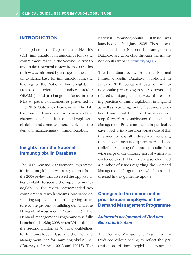#### **INTRODUCTION**

This update of the Department of Health's (DH) immunoglobulin guidelines fulfils the commitment made in the Second Edition to undertake a biennial review from 2009. This review was informed by changes in the clinical evidence base for immunoglobulin, the findings of the National Immunoglobulin Database (Reference number ROCR/ OR/0221), and a change of focus in the NHS to patient outcomes, as presented in The NHS Outcomes Framework. The DH has consulted widely in this review and the changes have been discussed at length with clinicians and commissioners involved in the demand management of immunoglobulin.

#### **Insights from the National Immunoglobulin Database**

The DH's Demand Management Programme for Immunoglobulin was a key output from the 2006 review that assessed the opportunities available to secure the supply of immunoglobulin. The review recommended two complementary work streams, one based on securing supply and the other giving structure to the process of fulfilling demand (the Demand Management Programme). The Demand Management Programme was fully launched in late May 2008, when DH published the Second Edition of 'Clinical Guidelines for Immunoglobulin Use' and the 'Demand Management Plan for Immunoglobulin Use' (Gateway reference 10012 and 10013). The

National Immunoglobulin Database was launched on 2nd June 2008. These documents and the National Immunoglobulin Database are accessible through the immunoglobulin website www.ivig.org.uk.

The first data review from the National Immunoglobulin Database, published in January 2010, contained data on immunoglobulin prescribing in 5119 patients, and offered a unique, detailed view of prescribing practice of immunoglobulin in England as well as providing, for the first time, a baseline of immunoglobulin use. This was a major step forward in establishing the Demand Management Programme and, in particular, gave insights into the appropriate use of this treatment across all indications. Generally, the data demonstrated appropriate and controlled prescribing of immunoglobulin for a wide range of conditions, most of which was evidence based. The review also identified a number of issues regarding the Demand Management Programme, which are addressed in this guideline update.

#### **Changes to the colour-coded prioritisation employed in the Demand Management Programme**

#### *Automatic assignment of Red and Blue prioritisation*

The Demand Management Programme introduced colour coding to reflect the prioritisation of immunoglobulin treatment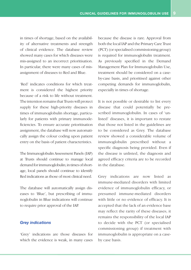in times of shortage, based on the availability of alternative treatments and strength of clinical evidence. The database review showed many cases for which diseases were mis-assigned to an incorrect prioritisation. In particular, there were many cases of misassignment of diseases to Red and Blue.

'Red' indicates conditions for which treatment is considered the highest priority because of a risk to life without treatment. The intention remains that Trusts will protect supply for these high-priority diseases in times of immunoglobulin shortage, particularly for patients with primary immunodeficiencies. To ensure accurate prioritisation assignment, the database will now automatically assign the colour coding upon patient entry on the basis of patient characteristics.

The Immunoglobulin Assessment Panels (IAP) at Trusts should continue to manage local demand for immunoglobulin; in times of shortage, local panels should continue to identify Red indications as those of most clinical need.

The database will automatically assign diseases to 'Blue', but prescribing of immunoglobulin in Blue indications will continue to require prior approval of the IAP.

#### *Grey indications*

'Grey' indications are those diseases for which the evidence is weak, in many cases because the disease is rare. Approval from both the local IAP and the Primary Care Trust (PCT) (or specialised commissioning group) is required for immunoglobulin treatment. As previously specified in the Demand Management Plan for Immunoglobulin Use, treatment should be considered on a caseby-case basis, and prioritised against other competing demands for immunoglobulin, especially in times of shortage.

It is not possible or desirable to list every disease that could potentially be prescribed immunoglobulin. In cases of 'unlisted' diseases, it is important to restate that those not listed in the guidelines are to be considered as Grey. The database review showed a considerable volume of immunoglobulin prescribed without a specific diagnosis being provided. Even if the disease is unlisted, the diagnosis and agreed efficacy criteria are to be recorded in the database.

Grey indications are now listed as immune-mediated disorders with limited evidence of immunoglobulin efficacy, or presumed immune-mediated disorders with little or no evidence of efficacy. It is accepted that the lack of an evidence base may reflect the rarity of these diseases; it remains the responsibility of the local IAP to decide with the PCT (or specialised commissioning group) if treatment with immunoglobulin is appropriate on a caseby case basis.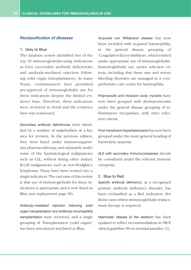#### *Reclassification of diseases*

#### 1. Grey to Blue

The database review identified two of the top 10 immunoglobulin-using indications as Grey (secondary antibody deficiencies and antibody-mediated rejection following solid organ transplantation). In many Trusts, commissioners have permitted pre-approval of immunoglobulin use for these indications despite the limited evidence base. Therefore, these indications were reviewed in detail and the evidence base was reassessed.

*Secondary antibody deficiencies* were identified by a number of stakeholders as a key area for revision. In the previous edition, they were listed under immunosuppressive pharmacotherapy, and separately under some of the haematological malignancies such as CLL, without listing other mature B-cell malignancies such as non-Hodgkin's lymphoma. These have been revised into a single indication. The outcome of this review is that use of immunoglobulin for these indications is appropriate and is now listed as Blue (see replacement page 30).

*Antibody-mediated rejection following solid organ transplantation and antibody-incompatible transplantation* were reviewed, and a single grouping of 'Transplantation (solid organ)' has been introduced and listed as Blue.

*Acquired von Willebrand disease* has now been included with acquired haemophilia, in the general disease grouping of 'Coagulation factor inhibitors', which is listed under appropriate use of immunoglobulin. Immunoglobulin use carries selection criteria, including that these rare and severe bleeding disorders are managed in a comprehensive care centre for haemophilia.

*Polymyositis and Inclusion body myositis* have now been grouped with dermatomyositis under the general disease grouping of inflammatory myopathies, with strict selection criteria.

*Post-transfusion hyperhaemolysis* has now been grouped under the more general heading of haemolytic anaemia.

*SLE with secondary immunocytopenias* should be considered under the relevant immune cytopenia.

#### 2. Blue to Red

*Specific antibody deficiency*, as a recognised primary antibody deficiency disorder, has been reclassified as a Red indication (for those cases where immunoglobulin replacement therapy is required).

*Haemolytic disease of the newborn* has been updated to reflect recommendations in NICE clinical guideline 98 on neonatal jaundice [1].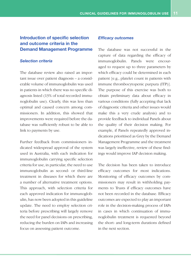#### **Introduction of specific selection and outcome criteria in the Demand Management Programme**

#### *Selection criteria*

The database review also raised an important issue over patient diagnosis – a considerable volume of immunoglobulin was used in patients in which there was no specific diagnosis listed (13% of total recorded immunoglobulin use). Clearly, this was less than optimal and caused concern among commissioners. In addition, this showed that improvements were required before the database was sufficiently robust to be able to link to payments by use.

Further feedback from commissioners indicated widespread approval of the system used in Australia, with each indication for immunoglobulin carrying specific selection criteria for use, in particular, the need to use immunoglobulin as second- or third-line treatment in diseases for which there are a number of alternative treatment options. This approach, with selection criteria for each approved indication for immunoglobulin, has now been adopted in this guideline update. The need to employ selection criteria before prescribing will largely remove the need for panel decisions on prescribing, reducing the burden on IAPs and increasing focus on assessing patient outcome.

#### *Efficacy outcomes*

The database was not successful in the capture of data regarding the efficacy of immunoglobulin. Panels were encouraged to request up to three parameters by which efficacy could be determined in each patient [e.g., platelet count in patients with immune thrombocytopenic purpura (ITP)]. The purpose of this exercise was both to obtain preliminary data about efficacy in various conditions (fully accepting that lack of diagnostic criteria and other issues would make this a very crude analysis) and to provide feedback to individual Panels about the quality of their decision making. For example, if Panels repeatedly approved indications prioritised as Grey by the Demand Management Programme and the treatment was largely ineffective, review of these findings would improve IAP decision making.

The decision has been taken to introduce efficacy outcomes for most indications. Monitoring of efficacy outcomes by commissioners may result in withholding payments to Trusts if efficacy outcomes have not been recorded in the database. Efficacy outcomes are expected to play an important role in the decision-making process of IAPs in cases in which continuation of immunoglobulin treatment is requested beyond the short- and long-term durations defined in the next section.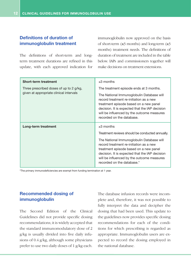#### **Definitions of duration of immunoglobulin treatment**

The definitions of short-term and longterm treatment durations are refined in this update, with each approved indication for immunoglobulin now approved on the basis of short-term (≤3 months) and long-term (≥3 months) treatment needs. The definitions of duration of treatment are included in the table below. IAPs and commissioners together will make decisions on treatment extensions.

| <b>Short-term treatment</b>             | $\leq$ 3 months                                                                                                                                                                                                                                              |  |  |  |
|-----------------------------------------|--------------------------------------------------------------------------------------------------------------------------------------------------------------------------------------------------------------------------------------------------------------|--|--|--|
| Three prescribed doses of up to 2 g/kg, | The treatment episode ends at 3 months.                                                                                                                                                                                                                      |  |  |  |
| given at appropriate clinical intervals | The National Immunoglobulin Database will<br>record treatment re-initiation as a new<br>treatment episode based on a new panel<br>decision. It is expected that the IAP decision<br>will be influenced by the outcome measures<br>recorded on the database.  |  |  |  |
| Long-term treatment                     | $\geq$ 3 months                                                                                                                                                                                                                                              |  |  |  |
|                                         | Treatment reviews should be conducted annually.                                                                                                                                                                                                              |  |  |  |
|                                         | The National Immunoglobulin Database will<br>record treatment re-initiation as a new<br>treatment episode based on a new panel<br>decision. It is expected that the IAP decision<br>will be influenced by the outcome measures<br>recorded on the database.* |  |  |  |

\*The primary immunodeficiencies are exempt from funding termination at 1 year.

#### **Recommended dosing of immunoglobulin**

The Second Edition of the Clinical Guidelines did not provide specific dosing recommendations; it is widely accepted that the standard immunomodulatory dose of 2 g/kg is usually divided into five daily infusions of 0.4 g/kg, although some physicians prefer to use two daily doses of 1 g/kg each. The database infusion records were incomplete and, therefore, it was not possible to fully interpret the data and decipher the dosing that had been used. This update to the guidelines now provides specific dosing recommendations for each of the conditions for which prescribing is regarded as appropriate. Immunoglobulin users are expected to record the dosing employed in the national database.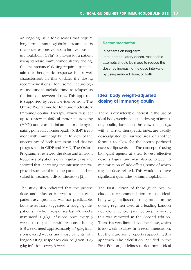An ongoing issue for diseases that require long-term immunoglobulin treatment is that once responsiveness to intravenous immunoglobulin (IVIg) is proven for a patient using standard immunomodulatory dosing, the 'maintenance' dosing required to maintain the therapeutic response is not well characterised. In this update, the dosing recommendations for some neurological indications include 'time to relapse' as the interval between doses. This approach is supported by recent evidence from The Oxford Programme for Immunomodulatory Immunoglobulin Therapy, which was set up to review multifocal motor neuropathy (MMN) and chronic inflammatory demyelinating polyradiculoneuropathy (CIDP) treatment with immunoglobulin. In view of the uncertainty of both remission and disease progression in CIDP and MMN, The Oxford Programme reviewed the dose and infusion frequency of patients on a regular basis and showed that increasing the infusion interval proved successful in some patients and resulted in treatment discontinuation [2].

The study also indicated that the precise dose and infusion interval to keep each patient asymptomatic was not predictable, but the authors suggested a rough guide: patients in whom responses last <6 weeks may need 1 g/kg infusions once every 3 weeks; those patients with responses lasting 6–8 weeks need approximately 0.5 g/kg infusions every 3 weeks; and those patients with longer-lasting responses can be given 0.25 g/kg infusions every 3 weeks.

#### *Recommendation*

In patients on long-term immunomodulatory doses, reasonable attempts should be made to reduce the dose, by increasing the dose interval or by using reduced dose, or both.

#### **Ideal body weight-adjusted dosing of immunoglobulin**

There is considerable interest in the use of ideal body weight-adjusted dosing of immunoglobulin, based on the view that drugs with a narrow therapeutic index are usually dose-adjusted by surface area or another formula to allow for the poorly perfused excess adipose tissue. The concept of using biological agents at their lowest effective dose is logical and may also contribute to minimisation of side-effects, some of which may be dose related. This would also save significant quantities of immunoglobulin.

The First Edition of these guidelines included a recommendation to use idealbody-weight-adjusted dosing, based on the dosing regimen used at a leading London neurology centre (see below); however, this was removed in the Second Edition. There is a very limited evidence base, which is too weak to allow firm recommendation, but there are some reports supporting this approach. The calculation included in the First Edition guidelines to determine ideal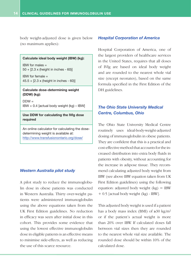body weight-adjusted dose is given below (no maximum applies):

#### **Calculate ideal body weight (IBW) (kg):**

IBW for males = 50 + [2.3 x (height in inches - 60)]

IBW for female = 45.5 + [2.3 x (height in inches - 60)]

#### **Calculate dose-determining weight (DDW) (kg):**

 $DDW =$ IBW + 0.4 [actual body weight (kg) – IBW]

#### **Use DDW for calculating the IVIg dose required**

An online calculator for calculating the dosedetermining weight is available at: <http://www.transfusionontario.org/dose/>

#### *Western Australia pilot study*

A pilot study to reduce the immunoglobulin dose in obese patients was conducted in Western Australia. Thirty over-weight patients were administered immunoglobulin using the above equations taken from the UK First Edition guidelines. No reduction in efficacy was seen after initial dose in this cohort. This provides some evidence that using the lowest effective immunoglobulin dose in eligible patients is an effective means to minimise side-effects, as well as reducing the use of this scarce resource.

#### *Hospital Corporation of America*

Hospital Corporation of America, one of the largest providers of healthcare services in the United States, requires that all doses of IVIg are based on ideal body weight and are rounded to the nearest whole vial size (except neonates), based on the same formula specified in the First Edition of the DH guidelines.

#### *The Ohio State University Medical Centre, Columbus, Ohio*

The Ohio State University Medical Centre routinely uses ideal-body-weight-adjusted dosing of immunoglobulin in obese patients. They are confident that this is a practical and cost-effective method that accounts for the increased distribution into extra body fluids in patients with obesity, without accounting for the increase in adipose tissue. They recommend calculating adjusted body weight from IBW (see above IBW equation taken from UK First Edition guidelines) using the following equation: adjusted body weight  $(kg) = IBW$ + 0.5 [actual body weight (kg) - IBW].

This adjusted body weight is used if a patient has a body mass index (BMI) of  $\geq 30 \text{ kg/m}^2$ or if the patient's actual weight is more than 20% over IBW. If calculated doses fall between vial sizes then they are rounded to the nearest whole vial size available. The rounded dose should be within 10% of the calculated dose.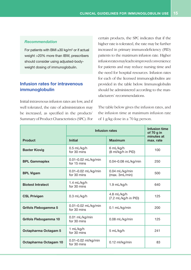#### *Recommendation*

For patients with BMI ≥30 kg/m2 or if actual weight >20% more than IBW, prescribers should consider using adjusted-bodyweight dosing of immunoglobulin.

#### **Infusion rates for intravenous immunoglobulin**

Initial intravenous infusion rates are low, and if well tolerated, the rate of administration may be increased, as specified in the products' Summary of Product Characteristics (SPC). For certain products, the SPC indicates that if the higher rate is tolerated, the rate may be further increased in primary immunodeficiency (PID) patients to the maximum infusion rate. Higher infusion rates may lead to improved convenience for patients and may reduce nursing time and the need for hospital resources. Infusion rates for each of the licensed immunoglobulins are provided in the table below. Immunoglobulin should be administered according to the manufacturers' recommendations.

The table below gives the infusion rates, and the infusion time at maximum infusion rate of 1 g/kg dose in a 70 kg person.

|                              | Infusion rates                        |                                     | <b>Infusion time</b><br>of 70 g in |
|------------------------------|---------------------------------------|-------------------------------------|------------------------------------|
| <b>Product</b>               | <b>Initial</b>                        | <b>Maximum</b>                      | minutes at<br>max. rate            |
| <b>Baxter Kiovig</b>         | $0.5$ mL/kg/h<br>for 30 mins          | 6 mL/kg/h<br>(8 ml/kg/h in PID)     | 100                                |
| <b>BPL Gammaplex</b>         | 0.01-0.02 mL/kg/min<br>for 15 mins    | 0.04-0.08 mL/kg/min                 | 250                                |
| <b>BPL Vigam</b>             | 0.01-0.02 mL/kg/min<br>for 30 mins    | 0.04 mL/kg/min<br>(max. 3mL/min)    | 500                                |
| <b>Biotest Intratect</b>     | $1.4$ mL/kg/h<br>for 30 mins          | $1.9$ mL/kg/h                       | 640                                |
| <b>CSL Privigen</b>          | $0.3$ mL/kg/h                         | 4.8 mL/kg/h<br>(7.2 mL/kg/h in PID) | 125                                |
| Grifols Flebogamma 5         | 0.01-0.02 mL/kg/min<br>for 30 mins    | 0.1 mL/kg/min                       | 200                                |
| <b>Grifols Flebogamma 10</b> | 0.01 mL/kg/min<br>for 30 mins         | 0.08 mL/kg/min                      | 125                                |
| Octapharma Octagam 5         | 1 mL/kg/h<br>5 mL/kg/h<br>for 30 mins |                                     | 241                                |
| Octapharma Octagam 10        | 0.01-0.02 ml/kg/min<br>for 30 mins    | 0.12 ml/kg/min                      | 83                                 |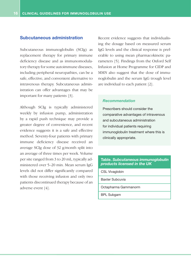#### **Subcutaneous administration**

Subcutaneous immunoglobulin (SCIg) as replacement therapy for primary immune deficiency disease and as immunomodulatory therapy for some autoimmune diseases, including peripheral neuropathies, can be a safe, effective, and convenient alternative to intravenous therapy. Subcutaneous administration can offer advantages that may be important for many patients [3].

Although SCIg is typically administered weekly by infusion pump, administration by a rapid push technique may provide a greater degree of convenience, and recent evidence suggests it is a safe and effective method. Seventy-four patients with primary immune deficiency disease received an average SCIg dose of 32 g/month split into an average of three times per week. Volume per site ranged from 3 to 20 mL, typically administered over 5–20 min. Mean serum IgG levels did not differ significantly compared with those receiving infusion and only two patients discontinued therapy because of an adverse event [4].

Recent evidence suggests that individualising the dosage based on measured serum IgG levels and the clinical response is preferable to using mean pharmacokinetic parameters [5]. Findings from the Oxford Self Infusion at Home Programme for CIDP and MMN also suggest that the dose of immunoglobulin and the serum IgG trough level are individual to each patient [2].

#### *Recommendation*

Prescribers should consider the comparative advantages of intravenous and subcutaneous administration for individual patients requiring immunoglobulin treatment where this is clinically appropriate.

#### **Table.** *Subcutaneous immunoglobulin products licensed in the UK*

CSL Vivaglobin

Baxter Subcuvia

Octapharma Gammanorm

BPL Subgam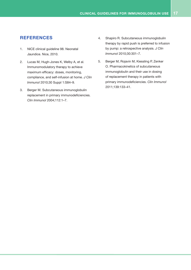#### **References**

- 1. NICE clinical guideline 98. Neonatal Jaundice. Nice, 2010.
- 2. Lucas M, Hugh-Jones K, Welby A, et al. Immunomodulatory therapy to achieve maximum efficacy: doses, monitoring, compliance, and self-infusion at home. *J Clin Immunol* 2010;30 Suppl 1:S84–9.
- 3. Berger M. Subcutaneous immunoglobulin replacement in primary immunodeficiencies. *Clin Immunol* 2004;112:1–7.
- 4. Shapiro R. Subcutaneous immunoglobulin therapy by rapid push is preferred to infusion by pump: a retrospective analysis. *J Clin Immunol* 2010;30:301–7.
- 5. Berger M, Rojavin M, Kiessling P, Zenker O. Pharmacokinetics of subcutaneous immunoglobulin and their use in dosing of replacement therapy in patients with primary immunodeficiencies. *Clin Immunol* 2011;139:133–41.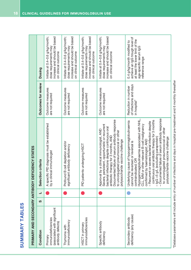# **SUMMARY TABLES SUMMARY TABLES**

|                              |   |   | PRIMARY AND SECONDARY ANTIBODY DEFICIENCY STATES                                                                                                                                                                                                                                                                                                                                                                                                                                                                        |                                                               |                                                                                                                                              |
|------------------------------|---|---|-------------------------------------------------------------------------------------------------------------------------------------------------------------------------------------------------------------------------------------------------------------------------------------------------------------------------------------------------------------------------------------------------------------------------------------------------------------------------------------------------------------------------|---------------------------------------------------------------|----------------------------------------------------------------------------------------------------------------------------------------------|
|                              | ທ | ┙ | Selection criteria                                                                                                                                                                                                                                                                                                                                                                                                                                                                                                      | Outcomes for review                                           | <b>Dosing</b>                                                                                                                                |
| (associated with significant |   |   | A specific PID diagnosis must be established<br>by a clinical immunologist                                                                                                                                                                                                                                                                                                                                                                                                                                              | Outcome measures<br>are not required                          | Initiate at 0.4-0.6 g/kg/month;<br>increase and should be based<br>dose requirements may<br>on clinical outcome                              |
|                              |   |   | Profound B cell depletion and/or<br>significant antibody deficiency                                                                                                                                                                                                                                                                                                                                                                                                                                                     | Outcome measures<br>are not required                          | Initiate at 0.4-0.6 g/kg/month;<br>increase and should be based<br>dose requirements may<br>on clinical outcome                              |
|                              |   |   | PID patients undergoing HSCT                                                                                                                                                                                                                                                                                                                                                                                                                                                                                            | Outcome measures<br>are not required                          | Initiate at 0.4-0.6 g/kg/month;<br>increase and should be based<br>dose requirements may<br>on clinical outcome                              |
|                              |   |   | Documented failure of serum antibody response<br>Severe, persistent, opportunistic or recurrent<br>bacterial infections despite continuous oral<br>Approval by a clinical immunologist, AND<br>to unconjugated pneumococcal or other<br>antibiotic therapy for 3 months, AND<br>polysaccharide vaccine challenge                                                                                                                                                                                                        | Outcome measures<br>are not required                          | increase and should be based<br>Initiate at 0.4-0.6 g/kg/month;<br>dose requirements may<br>on clinical outcome                              |
| deficiency (any cause)       |   |   | - Documented failure of serum antibody response<br>Hypogammaglobulinaemia associated with NHL,<br>CLL, MM or other relevant B-cell malignancy<br>continuous oral antibiotic therapy for 3 months<br>Underlying cause of hypogammaglobulinaemia<br>- Recurrent or severe bacterial infection despite<br>to unconjugated pneumococcal or other<br>- IgG <5 g/L (excluding paraprotein)<br>polysaccharide vaccine challenge<br>confirmed by haematologist; AND<br>cannot be reversed or reversal is<br>contraindicated; OR | of infections and days<br>Reduction in number<br>in hospital* | achieve an IgG trough level of<br>at least the lower limit of the<br>0.4 g/kg/month modified to<br>age-specific serum IgG<br>reference range |

\*Database parameters will include entry of number of infections and days in hospital pre-treatment and 6 monthly thereafter \*Database parameters will include entry of number of infections and days in hospital pre-treatment and 6 monthly thereafter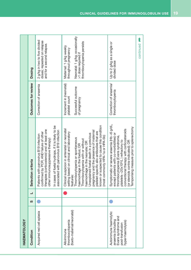| <b>HAEMATOLOGY</b>                                                                                         |   |                                                                                                                                                                                                                                                                                                                                                                                                                                                                          |                                                                                 |                                                                                                                                       |
|------------------------------------------------------------------------------------------------------------|---|--------------------------------------------------------------------------------------------------------------------------------------------------------------------------------------------------------------------------------------------------------------------------------------------------------------------------------------------------------------------------------------------------------------------------------------------------------------------------|---------------------------------------------------------------------------------|---------------------------------------------------------------------------------------------------------------------------------------|
| Condition                                                                                                  | S | Selection criteria                                                                                                                                                                                                                                                                                                                                                                                                                                                       | Outcomes for review                                                             | Dosing                                                                                                                                |
| Acquired red cell aplasia                                                                                  |   | In cases of foetal hydrops, if it is likely to be<br>therapies (corticosteroid and at least one<br>associated with parvovirus B19 infection<br>confirmed by PCR; AND failure of other<br>Patients with parvovirus B19 infection<br>other immunosuppressive therapy)                                                                                                                                                                                                      | Correction of anaemia                                                           | 2 g/kg in two to five divided<br>doses; repeated on relapse<br>and for a second relapse.                                              |
| (foeto-maternal/neonatal)<br>thrombocytopenia<br>Alloimmune                                                |   | or suspected to cause this condition<br>Clinical suspicion in antenatal or neonatal<br>pregnancy and the presence of maternal<br>platelet-specific allo-antibodies that are<br>based on clinical and laboratory<br>Unexplained foetal death in a previous<br>(most commonly HPA-1a or HPA-5b)<br>Thrombocytopenia or spontaneous<br>Thrombocytopenia with or without<br>haemorrhage in the neonate; OR<br>haemorrhage in the foetus; OR<br>features:<br>setting<br>known | Increment in (neonatal)<br>Successful outcome<br>platelet count<br>of pregnancy | Neonatal: 1 g/kg; occasionally<br>thrombocytopenia persists<br>Maternal: 1 g/kg weekly<br>throughout pregnancy<br>>1 dose required if |
| Autoimmune haemolytic<br>Evans syndrome and<br>anaemia (including<br>hyper-haemolysis)<br>post-transfusion |   | Symptomatic or severe anaemia (Hb <6 g/dL,<br>Temporising measure prior to splenectomy<br>conventional therapy with corticosteroids<br>except patients with co-morbidities) or<br>thrombocytopenia (Evans syndrome,<br>platelets <20x109/L) refractory to<br>(or steroids contra-indicated); OR                                                                                                                                                                          | Correction of anaemia/<br>thrombocytopenia                                      | Up to 2 g/kg as a single or<br>divided dose                                                                                           |
|                                                                                                            |   |                                                                                                                                                                                                                                                                                                                                                                                                                                                                          |                                                                                 | continued                                                                                                                             |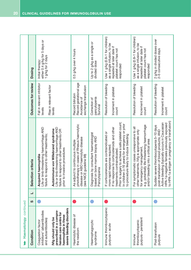| continued<br>Haematology                                                                                                                                                                                         |   |   |                                                                                                                                                                                                                                                                                                            |                                                                                    |                                                                                                                                      |
|------------------------------------------------------------------------------------------------------------------------------------------------------------------------------------------------------------------|---|---|------------------------------------------------------------------------------------------------------------------------------------------------------------------------------------------------------------------------------------------------------------------------------------------------------------|------------------------------------------------------------------------------------|--------------------------------------------------------------------------------------------------------------------------------------|
| Condition                                                                                                                                                                                                        | ທ | ᆜ | Selection criteria                                                                                                                                                                                                                                                                                         | Outcomes for review                                                                | <b>Dosing</b>                                                                                                                        |
| severe bleeding disorders<br>prescribed in a compre-<br>inhibitors* (alloantibodies<br>hensive care centre for<br>haemophilia in these<br><b>Nig should only be</b><br>and autoantibodies)<br>Coagulation factor |   |   | Life or limb-threatening haemorrhage AND<br>Life or limb-threatening haemorrhage AND<br>Autoimmune von Willebrand syndrome<br>failure to respond to other treatments OR<br>failure to respond to other treatments;<br>prior to invasive procedures<br>Acquired haemophilia                                 | Fall in relevant inhibitor<br>Rise in relevant factor<br>levels<br>levels          | either 0.4 g/kg for 5 days or<br>1 g/kg for 2 days<br>Initial therapy:                                                               |
| Haemolytic disease of<br>the newborn                                                                                                                                                                             |   |   | phototherapy in cases of Rhesus haemolytic<br>disease or ABO haemolytic disease<br>As adjunct to continuous multiple<br>(see NICE guideline 98)                                                                                                                                                            | Record gestational age<br>exchange transfusion<br>Record bilirubin<br>Avoidance of | 0.5 g/kg over 4 hours                                                                                                                |
| Haemophagocytic<br>syndrome                                                                                                                                                                                      |   |   | Diagnosis by consultant haematologist<br>based on bone marrow biopsy AND<br>Pancytopenia                                                                                                                                                                                                                   | pancytopenia<br>Survival<br>Correction of                                          | Up to 2 g/kg as a single or<br>divided dose                                                                                          |
| Immune thrombocytopenic<br>purpura - acute                                                                                                                                                                       |   |   | Prior to surgery to achieve a safe platelet count;<br>In children (<16 years) for emergency or prior<br>If no response to corticosteroids and other<br>If corticosteroids are contraindicated or<br>to procedure likely to induce bleeding<br>more rapid response required;<br>treatments contraindicated; | Resolution of bleeding<br>Increment in platelet<br>count                           | Use 1 g/kg (0.8-1 for children)<br>as a single infusion, to be<br>repeated at later date if<br>platelet count has not<br>responded   |
| purpura - persistent<br>thrombocytopenic<br>Immune                                                                                                                                                               |   |   | e.g. potentially life-threatening haemorrhage<br>For symptomatic cases unresponsive to all<br>other treatments, IVIg is appropriate only<br>and/or bleeding into a critical area<br>for emergency management                                                                                               | Resolution of bleeding<br>Increment in platelet<br>count                           | Use 1 $g/kg$ (0.8-1 for children)<br>as a single infusion, to be<br>repeated at later date if<br>platelet count has not<br>responded |
| Post-transfusion<br>purpura                                                                                                                                                                                      |   |   | to HPA-1a antigen in pregnancy or transfusion)<br>Active bleeding (typically occurs in Caucasian<br>HPA-1a-negative females previously exposed<br>Sudden severe thrombocytopenia 5-10 days<br>post-transfusion of blood products; AND                                                                      | Resolution of bleeding<br>Increment in platelet<br>count                           | 2 g/kg in divided doses over<br>2–5 consecutive days                                                                                 |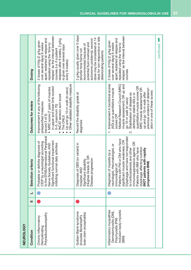|                                                                                                                                                                                                                                                                                  | days                                                                                                                                                                                                                                                                 |                                                                                                                                                                                |                    |   |           |
|----------------------------------------------------------------------------------------------------------------------------------------------------------------------------------------------------------------------------------------------------------------------------------|----------------------------------------------------------------------------------------------------------------------------------------------------------------------------------------------------------------------------------------------------------------------|--------------------------------------------------------------------------------------------------------------------------------------------------------------------------------|--------------------|---|-----------|
| relapse' as the interval between<br>apart; restarted at relapse and<br>relapses after 6 weeks, 2 g/kg<br>2 doses of IVIg (2 g/kg given<br>over several days) 6 weeks<br>ot smit, eut buisn pepedeu<br>is given over several days<br>courses (i.e. if a patient<br>every 6 weeks) | days for non-responsive or late<br>dose may be considered at 14<br>autonomic problems); second<br>potential fluid overload and<br>g/kg usually given over 5<br>recommended because of<br>shorter time frame not<br>deteriorating patients<br>$\overline{\mathsf{c}}$ | as the interval between<br>apart; restarted at relapse and<br>2 doses of IVIg (2 g/kg given<br>over several days) 6 weeks<br>ot smit, eut buisn pereder<br>relapse'<br>courses |                    |   | continued |
| sure<br>juiy<br>್ಲಾ<br>ပ္က<br>$\widehat{m}$                                                                                                                                                                                                                                      |                                                                                                                                                                                                                                                                      | Dres<br>R <sub>C</sub><br>and<br>Φ                                                                                                                                             | $\frac{\alpha}{2}$ | ᆚ |           |

| <b>NEUROLOGY</b>                                                                                          |   |   |                                                                                                                                                                                                                                                                                                                                                                                |                                                                                                                                                                                                                                                                                                                                                                                                                             |                                                                                                                                                                                                                                                                                 |
|-----------------------------------------------------------------------------------------------------------|---|---|--------------------------------------------------------------------------------------------------------------------------------------------------------------------------------------------------------------------------------------------------------------------------------------------------------------------------------------------------------------------------------|-----------------------------------------------------------------------------------------------------------------------------------------------------------------------------------------------------------------------------------------------------------------------------------------------------------------------------------------------------------------------------------------------------------------------------|---------------------------------------------------------------------------------------------------------------------------------------------------------------------------------------------------------------------------------------------------------------------------------|
| Condition                                                                                                 | S | ᆜ | Selection criteria                                                                                                                                                                                                                                                                                                                                                             | Outcomes for review                                                                                                                                                                                                                                                                                                                                                                                                         | <b>Dosing</b>                                                                                                                                                                                                                                                                   |
| Polyradiculoneuropathy<br>Chronic Inflammatory<br>Demyelinating                                           |   |   | to the EFNS/International Peripheral<br>Significant functional impairment<br>Probable or definite diagnosis of<br>by a neurologist according<br>inhibiting normal daily activities<br>Nerve Society Guidelines; AND<br>CIDP                                                                                                                                                    | Other validated disability measure<br>Improvement in any of the following<br>in upper and lower limb scored<br>MRC score (7 pairs of muscles<br>Up and go 10-m walk (in secs)<br>INCAT sensory sum score<br>The ONLS<br>prespecified measures<br>0-5, maximum 70)<br>(record $3$ of $5$ )                                                                                                                                   | relapse' as the interval between<br>apart; restarted at relapse and<br>relapses after 6 weeks, 2 g/kg<br>2 doses of IVIg (2 g/kg given<br>over several days) 6 weeks<br>ot smit, eqt buisn pepeder<br>s given over several days<br>courses (i.e. if a patient<br>every 6 weeks) |
| Guillain-Barré syndrome<br>brain stem encephalitis)<br>(includes Bickerstaff's                            |   |   | Diagnosis of GBS (or variant) in<br>(Hughes Grade 4); OR<br>Disease progression<br>Significant disability<br>hospital; AND                                                                                                                                                                                                                                                     | Record the disability grade at<br>diagnosis                                                                                                                                                                                                                                                                                                                                                                                 | 2 g/kg usually given over 5 days<br>days for non-responsive or late<br>dose may be considered at 14<br>autonomic problems); second<br>potential fluid overload and<br>recommended because of<br>shorter time frame not<br>deteriorating patients                                |
| Inflammatory myopathies<br>Inclusion body myositis<br>Dermatomyositis (DM),<br>Polymyositis (PM)<br>(IBM) |   |   | Dysphagia and have not responded<br>Patients with PM or DM who have<br>significant muscle weakness; OR<br>immunosuppressive agents; OR<br>neurologist, rheumatologist, or<br>dysphagia affecting nutrition<br>Patients with IBM who have<br>to corticosteroids and other<br>patients with rapidly<br>Diagnosis of myositis by a<br>progressive IBM)<br>immunologist of:<br>TON | 1. Improvement in functional scores<br>muscle assessment; OR up and<br>Medical Research Council (MRC)<br>quantitative muscle scores OR<br>previous evidence of deterior-<br>MRC muscle assessment OR<br>(ADLs) or quantitative muscle<br>ation in one of these scores<br>up and go 10-m walk after<br>Stabilisation of disease as<br>defined by stable ADLs or<br>go 10-m walk (in secs)<br>scores OR<br>$\dot{\mathbf{c}}$ | relapse' as the interval between<br>apart; restarted at relapse and<br>2 doses of IVIg (2 g/kg given<br>over several days) 6 weeks<br>repeated using the 'time to<br>courses                                                                                                    |
|                                                                                                           |   |   |                                                                                                                                                                                                                                                                                                                                                                                |                                                                                                                                                                                                                                                                                                                                                                                                                             | continued                                                                                                                                                                                                                                                                       |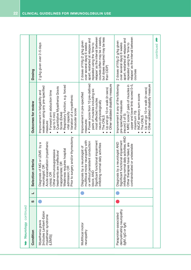| Neurology continued                                                           |          |   |                                                                                                                                                                                                                                                                         |                                                                                                                                                                                                                                                                                          |                                                                                                                                                                                                                                                    |
|-------------------------------------------------------------------------------|----------|---|-------------------------------------------------------------------------------------------------------------------------------------------------------------------------------------------------------------------------------------------------------------------------|------------------------------------------------------------------------------------------------------------------------------------------------------------------------------------------------------------------------------------------------------------------------------------------|----------------------------------------------------------------------------------------------------------------------------------------------------------------------------------------------------------------------------------------------------|
| Condition                                                                     | <b>S</b> | ┙ | Selection criteria                                                                                                                                                                                                                                                      | Outcomes for review                                                                                                                                                                                                                                                                      | Dosing                                                                                                                                                                                                                                             |
| includes Lambert-Eaton<br>myasthenic syndrome<br>Myasthenia gravis<br>(LEMS)] |          |   | Prior to surgery and/or thymectomy<br>Acute exacerbation (myasthenic<br>Diagnosis of MG or LEMS by a<br>Weakness requires hospital<br>immunosuppressive<br>treatments are ineffective/<br>inappropriate; OR<br>neurologist; OR<br>admission; OR<br>crisis); OR<br>Other | Respiratory function, e.g. forced<br>weakness using any pre-specified<br>Quantitative Myasthenia Gravis<br>· Forward arm abduction time<br>Improvement in fatigability and<br>Variation of a myasthenic<br>muscular score<br>vital capacity<br>Score (Duke)<br>(up to 5 min)<br>measure: | 2 g/kg given over 2-5 days                                                                                                                                                                                                                         |
| Multifocal motor<br>neuropathy                                                |          |   | multifocal motor neuropathy with<br>Significant functional impairment<br>or without persistent conduction<br>inhibiting normal daily activities<br>Diagnosis by a neurologist of<br>block; AND                                                                          | · Power score from 10 pre-defined<br>Other validated disability measure<br>Up and go 10-m walk (in secs)<br>pairs of muscles including six<br>Improvement in pre-specified<br>most affected muscles<br>neuro-physiologically<br>The ONLS<br>measures:                                    | courses (often may be 4 weeks,<br>relapse' as the interval between<br>but doses required may be less<br>apart; restarted at relapse and<br>2 doses of IVIg (2 g/kg given<br>of emit, eut buisn pepeder<br>over several days) 6 weeks<br>than CIDP) |
| demyelinating neuropathy<br>Paraprotein-associated<br>(IgM, IgG or IgA)       |          |   | inhibiting normal daily activities; AND<br>Significant functional impairment<br>Diagnosis by a neurologist AND<br>Other therapies have failed, are<br>contraindicated or undesirable                                                                                    | upper and lower limb scored 0-5,<br>Other validated disability measure<br>Improvement in any of the following<br>• MRC score (7 pairs of muscles in<br>Up and go 10-m walk (in secs)<br>INCAT sensory sum score<br>pre-specified measures<br>maximum 70)<br>(record 3 of 5):<br>The ONLS | relapse' as the interval between<br>apart; restarted at relapse and<br>2 doses of IVIg (2 g/kg given<br>over several days) 6 weeks<br>of emit, eup buisn pereder<br>courses                                                                        |
|                                                                               |          |   |                                                                                                                                                                                                                                                                         |                                                                                                                                                                                                                                                                                          | continued                                                                                                                                                                                                                                          |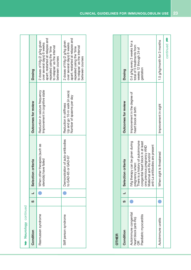| Neurology continued   |        |                                                         |                                                                                     |                                                                                                                                                                             |
|-----------------------|--------|---------------------------------------------------------|-------------------------------------------------------------------------------------|-----------------------------------------------------------------------------------------------------------------------------------------------------------------------------|
| Condition             | .<br>წ | Selection criteria                                      | Outcomes for review                                                                 | Dosing                                                                                                                                                                      |
| Rasmussen syndrome    |        | When other therapies (such as<br>steroids) have failed  | Improvement in cognitive state<br>Reduction in seizure frequency                    | apart; restarted at relapse and<br>2 doses of IVIg (2 g/kg given<br>over several days) 6 weeks<br>to relapse' as the interval<br>enit, aut buisn peredeu<br>between courses |
| Stiff person syndrome |        | Demonstration of auto-antibodies<br>to GAD-65 or GAD-67 | Up and go 10-m walk (in secs)<br>Number of spasms per day<br>Reduction in stiffness | apart; restarted at relapse and<br>2 doses of IVIg (2 g/kg given<br>over several days) 6 weeks<br>to relapse' as the interval<br>endi, equipulsu pepedes<br>between courses |

| <b>OTHER</b>                                                                        |  |                                                                                                                                                                                                                            |                                                      |                                                                                                   |
|-------------------------------------------------------------------------------------|--|----------------------------------------------------------------------------------------------------------------------------------------------------------------------------------------------------------------------------|------------------------------------------------------|---------------------------------------------------------------------------------------------------|
| Condition                                                                           |  | Selection criteria                                                                                                                                                                                                         | Outcomes for review                                  | <b>Dosing</b>                                                                                     |
| Autoimmune congenital<br>Paediatric myocarditis<br>heart block (anti-Ro)<br>er<br>O |  | pregnancy when:<br>There is a history of autoimmune<br>Mig therapy can be given during<br>congenital heart block in at least<br>antibodies are present<br>one previous pregnancy AND<br>Maternal anti-Ro and/or<br>anti-La | Improvement in the degree of<br>heart block at birth | 0.4 g/kg every 3 weeks for a<br>total of 5 treatments from<br>weeks 12 through 24 of<br>gestation |
| Autoimmune uveitis                                                                  |  | When sight is threatened                                                                                                                                                                                                   | Improvement in sight                                 | 1.5 g/kg/month for 3 months                                                                       |
|                                                                                     |  |                                                                                                                                                                                                                            |                                                      | continued <b>n</b>                                                                                |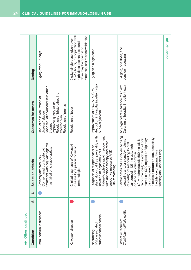| Other continued                                          |          |   |                                                                                                                                                                                                                                                                                                                                                                                                                    |                                                                                                                                                                                                       |                                                                                                                                                                    |
|----------------------------------------------------------|----------|---|--------------------------------------------------------------------------------------------------------------------------------------------------------------------------------------------------------------------------------------------------------------------------------------------------------------------------------------------------------------------------------------------------------------------|-------------------------------------------------------------------------------------------------------------------------------------------------------------------------------------------------------|--------------------------------------------------------------------------------------------------------------------------------------------------------------------|
| Condition                                                | <b>S</b> | ┙ | Selection criteria                                                                                                                                                                                                                                                                                                                                                                                                 | Outcomes for review                                                                                                                                                                                   | Dosing                                                                                                                                                             |
| Immunobullous diseases                                   |          |   | treatment with adjuvant agents<br>has failed or is inappropriate<br>Conventional corticosteroid<br>Severely affected AND                                                                                                                                                                                                                                                                                           | Dose reduction/discontinue other<br>Resolution of blisters/healing<br>Reduction in recurrence of<br>Improved quality of life<br>Resolution of pruritis<br>disease/relapse<br>affected skin<br>therapy | 2 g/kg over 2-5 days                                                                                                                                               |
| Kawasaki disease                                         |          |   | Clinical diagnosis of Kawasaki<br>disease by a paediatrician or<br>immunologist                                                                                                                                                                                                                                                                                                                                    | Resolution of fever                                                                                                                                                                                   | 10-12 hours, in conjunction with<br>response, or if relapse within 48h<br>2 g/kg single dose, given over<br>high-dose aspirin; a second<br>dose may be given if no |
| staphylococcal sepsis<br>(PVL-associated)<br>Necrotising |          |   | staphylococcal TSS, preferably with<br>Failure to achieve rapid improvement<br>with antibiotic therapy and other<br>Diagnosis of streptococcal or<br>isolation of organism; AND<br>supportive measures AND<br>Life-threatening                                                                                                                                                                                     | Reduction in hospital inpatient stay<br>Survival (yes/no)<br>Improvement of FBC, ALK, CPK                                                                                                             | 2g/kg as a single dose                                                                                                                                             |
| Clostridium difficile colitis<br>Severe or recurrent     |          |   | Severe cases (WCC >15, acute rising<br>If multiple recurrences, especially<br>recommended; the addition of oral<br>$+/-$ iv metronidazole 500 mg tds is<br>rifampicin (300 mg bd) or IVIg may<br>creatinine and/or signs/symptoms<br>of colitis) not responding to oral<br>vancomycin 125 mg qds, high-<br>wasting etc., consider IVIg<br>if evidence of malnutrition,<br>dosage oral vancomycin<br>be considered. | Any significant clearance of C. diff.<br>Duration of hospital in-patient stay                                                                                                                         | 0.4 g/kg, one dose, and<br>consider repeating                                                                                                                      |
|                                                          |          |   |                                                                                                                                                                                                                                                                                                                                                                                                                    |                                                                                                                                                                                                       | t<br>continued                                                                                                                                                     |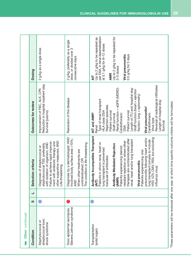| Other continued                                            |   |   |                                                                                                                                                                                                                                                                                                                                                                                                                                                                                                                                         |                                                                                                                                                                                                                                                                                                                                                                                                                                                                       |                                                                                                                                                                                                                               |
|------------------------------------------------------------|---|---|-----------------------------------------------------------------------------------------------------------------------------------------------------------------------------------------------------------------------------------------------------------------------------------------------------------------------------------------------------------------------------------------------------------------------------------------------------------------------------------------------------------------------------------------|-----------------------------------------------------------------------------------------------------------------------------------------------------------------------------------------------------------------------------------------------------------------------------------------------------------------------------------------------------------------------------------------------------------------------------------------------------------------------|-------------------------------------------------------------------------------------------------------------------------------------------------------------------------------------------------------------------------------|
| Condition                                                  | ທ | ┙ | Selection criteria                                                                                                                                                                                                                                                                                                                                                                                                                                                                                                                      | Outcomes for review                                                                                                                                                                                                                                                                                                                                                                                                                                                   | Dosing                                                                                                                                                                                                                        |
| streptococcal toxic<br>Staphylococcal or<br>shock syndrome |   |   | other supportive measures; AND<br>Failure to achieve rapid improve-<br>ment with antibiotic therapy and<br>with isolation of organism; AND<br>staphylococcal TSS, preferably<br>Diagnosis of streptococcal or<br>Life-threatening                                                                                                                                                                                                                                                                                                       | Reduction in hospital inpatient stay<br>Improvement of FBC, ALK, CPK<br>Survival (yes/no)                                                                                                                                                                                                                                                                                                                                                                             | 2 g/kg as a single dose                                                                                                                                                                                                       |
| Stevens Johnson syndrome<br>Toxic epidermal necrolysis,    |   |   | Diagnosis by a dermatologist; AND<br>Involved body surface area >10%;<br>The condition is life-threatening<br>When other treatments are<br>contraindicated; OR<br><b>AND</b>                                                                                                                                                                                                                                                                                                                                                            | Resolution of the disease                                                                                                                                                                                                                                                                                                                                                                                                                                             | 2 g/kg, preferably as a single<br>dose, or divided over 3<br>consecutive days                                                                                                                                                 |
| Transplantation<br>(solid organ)                           |   |   | Antibody Incompatible Transplant<br>HSV, VZV, CMV, RSV, but excluding<br>pneumonitis following heart and/or<br>therapies are contraindicated after<br>heart and/or lung transplant<br>lung transplant (viruses to include<br>resistant rejection or where other<br>Patients in whom renal, heart or<br><b>Antibody Mediated Rejection</b><br>Patients experiencing steroid<br>lung transplant is prevented<br>Patients experiencing viral<br>because of antibodies<br>Viral pneumonitis<br>influenza virus)<br>(AMR)<br>renal,<br>(AIT) | Reversal of radiological infiltrates<br>Length of ITU and hospital stay<br>Renal function = eGFR (MDRD)<br>Graft function (heart = ejection<br>fraction; lung = spirometry)<br>Type of renal transplant<br>Length of hospital stay<br>Rejection episodes<br>Viral pneumonitis*<br><b>HLA class DSA</b><br>Patient survival<br>Patient survival<br>AIT and AMR*<br>Cardiothoracic<br>Cardiothoracic<br>Graft survival<br>Virus type<br>Survival<br>Renal<br><b>DSA</b> | per DSA, in renal desensitisation<br>Up to 2 g/kg to be repeated for<br>Up to 2 g/kg to be repeated as<br>at 0.1 g/kg for 8-12 doses<br>0.5 g/kg for 5 days<br>Viral pneumonitis<br>$2 - 3$ doses<br><b>AMR</b><br><b>AIT</b> |

\*These parameters will be reviewed after one year, at which time specific outcome criteria will be formulated. \*These parameters will be reviewed after one year, at which time specific outcome criteria will be formulated.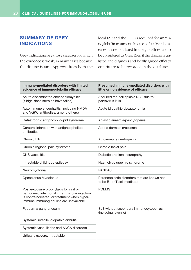#### **SUMMARY OF GREY INDICATIONS**

Grey indications are those diseases for which the evidence is weak, in many cases because the disease is rare. Approval from both the local IAP and the PCT is required for immunoglobulin treatment. In cases of 'unlisted' diseases, those not listed in the guidelines are to be considered as Grey. Even if the disease is unlisted, the diagnosis and locally agreed efficacy criteria are to be recorded in the database.

| Immune-mediated disorders with limited<br>evidence of immunoglobulin efficacy                                                                                                       | <b>Presumed immune-mediated disorders with</b><br>little or no evidence of efficacy |
|-------------------------------------------------------------------------------------------------------------------------------------------------------------------------------------|-------------------------------------------------------------------------------------|
| Acute disseminated encephalomyelitis<br>(if high-dose steroids have failed)                                                                                                         | Acquired red cell aplasia NOT due to<br>parvovirus B19                              |
| Autoimmune encephalitis (including NMDA<br>and VGKC antibodies, among others)                                                                                                       | Acute idiopathic dysautonomia                                                       |
| Catastrophic antiphospholipid syndrome                                                                                                                                              | Aplastic anaemia/pancytopenia                                                       |
| Cerebral infarction with antiphospholipid<br>antibodies                                                                                                                             | Atopic dermatitis/eczema                                                            |
| Chronic ITP                                                                                                                                                                         | Autoimmune neutropenia                                                              |
| Chronic regional pain syndrome                                                                                                                                                      | Chronic facial pain                                                                 |
| <b>CNS</b> vasculitis                                                                                                                                                               | Diabetic proximal neuropathy                                                        |
| Intractable childhood epilepsy                                                                                                                                                      | Haemolytic uraemic syndrome                                                         |
| Neuromyotonia                                                                                                                                                                       | <b>PANDAS</b>                                                                       |
| Opsoclonus Myoclonus                                                                                                                                                                | Paraneoplastic disorders that are known not<br>to be B- or T-cell mediated          |
| Post-exposure prophylaxis for viral or<br>pathogenic infection if intramuscular injection<br>is contraindicated, or treatment when hyper-<br>immune immunoglobulins are unavailable | <b>POEMS</b>                                                                        |
| Pyoderma gangrenosum                                                                                                                                                                | SLE without secondary immunocytopenias<br>(including juvenile)                      |
| Systemic juvenile idiopathic arthritis                                                                                                                                              |                                                                                     |
| Systemic vasculitides and ANCA disorders                                                                                                                                            |                                                                                     |
| Urticaria (severe, intractable)                                                                                                                                                     |                                                                                     |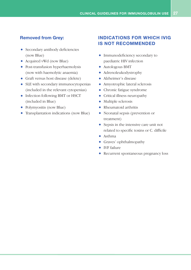#### **Removed from Grey:**

- Secondary antibody deficiencies (now Blue)
- Acquired vWd (now Blue)
- Post-transfusion hyperhaemolysis (now with haemolytic anaemia)
- Graft versus host disease (delete)
- SLE with secondary immunocytopenias (included in the relevant cytopenias)
- Infection following BMT or HSCT (included in Blue)
- Polymyositis (now Blue)
- Transplantation indications (now Blue)

#### **INDICATIONS FOR WHICH IVIG IS NOT RECOMMENDED**

- Immunodeficiency secondary to paediatric HIV infection
- Autologous BMT
- Adrenoleukodystrophy
- Alzheimer's disease
- Amyotrophic lateral sclerosis
- Chronic fatigue syndrome
- Critical illness neuropathy
- Multiple sclerosis
- Rheumatoid arthritis
- Neonatal sepsis (prevention or treatment)
- Sepsis in the intensive care unit not related to specific toxins or C. difficile
- Asthma
- Graves' ophthalmopathy
- IVF failure
- Recurrent spontaneous pregnancy loss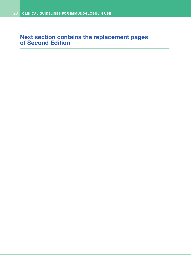### **Next section contains the replacement pages of Second Edition**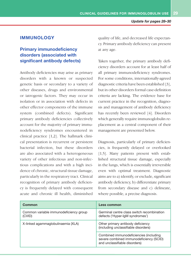#### **IMMUNOLOGY**

#### **Primary immunodeficiency disorders (associated with significant antibody defects)**

Antibody deficiencies may arise as primary disorders with a known or suspected genetic basis or secondary to a variety of other diseases, drugs and environmental or iatrogenic factors. They may occur in isolation or in association with defects in other effector components of the immune system (combined defects). Significant primary antibody deficiencies collectively account for the majority of primary immunodeficiency syndromes encountered in clinical practice [1,2]. The hallmark clinical presentation is recurrent or persistent bacterial infection, but these disorders are also associated with a heterogeneous variety of other infectious and non-infectious complications and with a high incidence of chronic, structural tissue damage, particularly in the respiratory tract. Clinical recognition of primary antibody deficiency is frequently delayed with consequent acute and chronic ill health, diminished quality of life, and decreased life expectancy. Primary antibody deficiency can present at any age.

Taken together, the primary antibody deficiency disorders account for at least half of all primary immunodeficiency syndromes. For some conditions, internationally-agreed diagnostic criteria have been established [3], but in other disorders formal case-definition criteria are lacking. The evidence base for current practice in the recognition, diagnosis and management of antibody deficiency has recently been reviewed [4]. Disorders which generally require immunoglobulin replacement as a central component of their management are presented below.

Diagnosis, particularly of primary deficiencies, is frequently delayed or overlooked [1,5]. Many patients present with established structural tissue damage, especially in the lungs, which is essentially irreversible even with optimal treatment. Diagnostic aims are to a) identify, or exclude, significant antibody deficiency, b) differentiate primary from secondary disease and c) delineate, where possible, a precise diagnosis.

| Common                                           | Less common                                                                                                        |
|--------------------------------------------------|--------------------------------------------------------------------------------------------------------------------|
| Common variable immunodeficiency group<br>(CVID) | Germinal centre class switch recombination<br>defects ('Hyper-IgM syndromes')                                      |
| X-linked agammaglobulinaemia (XLA)               | Other primary antibody deficiency<br>(including unclassifiable disorders)                                          |
|                                                  | Combined immunodeficiencies (including<br>severe combined immunodeficiency (SCID)<br>and unclassifiable disorders) |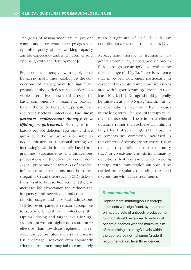The goals of management are to prevent complications or retard their progression, optimise quality of life, working capacity and life expectancy and, in children, ensure optimal growth and development [6].

Replacement therapy with polyclonal human normal immunoglobulin is the cornerstone of management for significant primary antibody deficiency disorders. No viable alternatives exist to this essential, basic component of treatment, particularly in the context of severe, persistent or recurrent bacterial infections. *For most patients, replacement therapy is a lifelong requirement*. Existing formulations replace deficient IgG only and are given by either intravenous or subcutaneous infusion in a hospital setting or, increasingly, within domestically-based programmes. Subcutaneous and intravenous preparations are therapeutically equivalent [7]. All preparations carry risks of adverse, infusion-related reactions and both real (hepatitis C) and theoretical (vCJD) risks of transmissible disease. Replacement therapy increases life expectancy and reduces the frequency and severity of infections, antibiotic usage and hospital admissions [4]; however, patients remain susceptible to sporadic breakthrough infections [8]. Optimal dosing and target levels for IgG are not known but higher doses are more effective than low-dose regimens in reducing infection rates and risk of chronic tissue damage. However, even apparently adequate treatment may fail to completely

retard progression of established disease complications such as bronchiectasis [9].

Replacement therapy is frequently targeted at achieving a sustained or pre-infusion trough serum IgG level within the normal range (6–16 g/L). There is evidence that improved outcomes, particularly in respect of respiratory infection, are associated with higher serum IgG levels up to at least 10 g/L [10]. Dosage should generally be initiated at 0.4–0.6 g/kg/month, but individual patients may require higher doses in the long term. The goal of therapy in individual cases should be to improve clinical outcome rather than achieve a minimum target level of serum IgG [11]. Dose requirements are commonly increased in the context of secondary structural tissue damage (especially in the respiratory tract) or co-existent chronic inflammatory conditions. Risk assessments for ongoing therapy with immunoglobulin should be carried out regularly (including the need to continue with active treatment).

#### *Recommendation*

Replacement immunoglobulin therapy in patients with significant, symptomatic primary defects of antibody production or function should be tailored to individual patient outcomes with the minimum aim of maintaining serum IgG levels within the age-related normal range (grade B recommendation, level IIb evidence).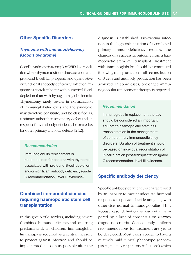#### **Other Specific Disorders**

#### *Thymoma with immunodeficiency (Good's Syndrome)*

Good's syndrome is a complex CVID-like condition where thymoma is found in association with profound B cell lymphopenia and quantitative or functional antibody deficiency. Infection frequencies correlate better with numerical B-cell depletion than with hypogammaglobulinemia. Thymectomy rarely results in normalisation of immunoglobulin levels and the syndrome may therefore constitute, and be classified as, a primary rather than secondary defect and, in respect of any antibody deficiency, be treated as for other primary antibody defects [2,12].

#### *Recommendation*

Immunoglobulin replacement is recommended for patients with thymoma associated with profound B-cell depletion and/or significant antibody deficiency (grade C recommendation, level III evidence).

#### **Combined immunodeficiencies requiring haemopoietic stem cell transplantation**

In this group of disorders, including Severe Combined Immunodeficiency and occurring predominantly in children, immunoglobulin therapy is required as a central measure to protect against infection and should be implemented as soon as possible after the diagnosis is established. Pre-existing infection in the high-risk situation of a combined primary immunodeficiency reduces the chances of a successful outcome from a haemopoietic stem cell transplant. Treatment with immunoglobulin should be continued following transplantation until reconstitution of B cells and antibody production has been achieved. In some cases, prolonged immunoglobulin replacement therapy is required.

#### *Recommendation*

Immunoglobulin replacement therapy should be considered an important adjunct to haemopoietic stem cell transplantation in the management of some primary immunodeficiency disorders. Duration of treatment should be based on individual reconstitution of B-cell function post-transplantation (grade C recommendation, level III evidence).

#### **Specific antibody deficiency**

Specific antibody deficiency is characterised by an inability to mount adequate humoral responses to polysaccharide antigens, with otherwise normal immunoglobulins [13]. Robust case definition is currently hampered by a lack of consensus on *in-vitro* diagnostic criteria. Consequently, uniform recommendations for treatment are yet to be developed. Most cases appear to have a relatively mild clinical phenotype (encompassing mainly respiratory infections) which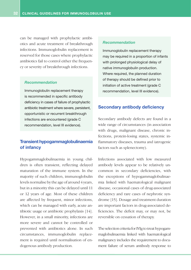can be managed with prophylactic antibiotics and acute treatment of breakthrough infections. Immunoglobulin replacement is reserved for those cases where prophylactic antibiotics fail to control either the frequency or severity of breakthrough infections.

#### *Recommendation*

Immunoglobulin replacement therapy is recommended in specific antibody deficiency in cases of failure of prophylactic antibiotic treatment where severe, persistent, opportunistic or recurrent breakthrough infections are encountered (grade C recommendation, level III evidence).

#### **Transient hypogammaglobulinaemia of infancy**

Hypogammaglobulinaemia in young children is often transient, reflecting delayed maturation of the immune system. In the majority of such children, immunoglobulin levels normalise by the age of around 4 years, but in a minority this can be delayed until 11 or 12 years of age. Most of these children are affected by frequent, minor infections, which can be managed with early, acute antibiotic usage or antibiotic prophylaxis [14]. However, in a small minority, infections are more severe and cannot be controlled or prevented with antibiotics alone. In such circumstances, immunoglobulin replacement is required until normalisation of endogenous antibody production.

#### *Recommendation*

Immunoglobulin replacement therapy may be required in a proportion of infants with prolonged physiological delay of native immunoglobulin production. Where required, the planned duration of therapy should be defined prior to initiation of active treatment (grade C recommendation, level III evidence).

#### **Secondary antibody deficiency**

Secondary antibody defects are found in a wide range of circumstances (in association with drugs, malignant disease, chronic infections, protein-losing states, systemic inflammatory diseases, trauma and iatrogenic factors such as splenectomy).

Infections associated with low measured antibody levels appear to be relatively uncommon in secondary deficiencies, with the exceptions of hypogammaglobulinaemia linked with haematological malignant disease, occasional cases of drug-associated deficiency and rare cases of nephrotic syndrome [15]. Dosage and treatment duration are important factors in drug-associated deficiencies. The deficit may, or may not, be reversible on cessation of therapy.

The selection criteria for IVIg to treat hypogammaglobulinaemia linked with haematological malignancy includes the requirement to document failure of serum antibody response to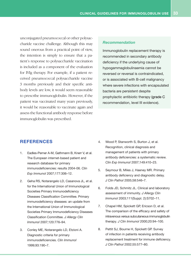unconjugated pneumococcal or other polysaccharide vaccine challenge. Although this may sound onerous from a practical point of view, the intention is simply to ensure that a patient's response to polysaccharide vaccination is included as a component of the evaluation for IVIg therapy. For example, if a patient received pneumococcal polysaccharide vaccine 3 months previously and their specific antibody levels are low, it would seem reasonable to prescribe immunoglobulin. However, if the patient was vaccinated many years previously, it would be reasonable to vaccinate again and assess the functional antibody response before immunoglobulin was prescribed.

#### *Recommendation*

Immunoglobulin replacement therapy is recommended in secondary antibody deficiency if the underlying cause of hypogammaglobulinaemia cannot be reversed or reversal is contraindicated, or is associated with B-cell malignancy where severe infections with encapsulated bacteria are persistent despite prophylactic antibiotic therapy (grade C recommendation, level III evidence).

#### **References**

- 1. Eadles-Perner A-M, Gathmann B, Knerr V, et al. The European internet-based patient and research database for primary immunodeficiencies: results 2004-06. *Clin Exp Immunol* 2007;177:306–12.
- 2. Geha RS, Notarangelo LD, Casanova JL, et al. for the International Union of Immunological Societies Primary Immunodeficiency Diseases Classification Committee. Primary immunodeficiency diseases: an update from the International Union of Immunological Societies Primary Immunodeficiency Diseases Classification Committee. *J Allergy Clin Immunol* 2007;120:776–94.
- 3. Conley ME, Notarangelo LD, Etzioni A. Diagnostic criteria for primary immunodeficiencies. *Clin Immunol* 1999;93:190–7.
- 4. Wood P, Stanworth S, Burton J, et al. Recognition, clinical diagnosis and management of patients with primary antibody deficiencies: a systematic review. *Clin Exp Immunol* 2007;149:410–23.
- 5. Seymour B, Miles J, Haeney MR. Primary antibody deficiency and diagnostic delay. *J Clin Pathol* 2005;58:546–7.
- 6. Folds JD, Schmitz JL. Clinical and laboratory assessment of immunity. *J Allergy Clin Immunol* 2003;111(Suppl. 2):S702–11.
- 7. Chapel HM, Spickett GP, Ericson D, et al. The comparison of the efficacy and safety of intravenous versus subcutaneous immunoglobulin therapy. *J Clin Immunol* 2000;20:94–100.
- 8. Pettit SJ, Bourne H, Spickett GP. Survey of infection in patients receiving antibody replacement treatment for immune deficiency. *J Clin Pathol* 2002;55:577–80.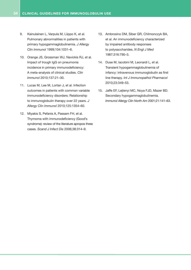- 9. Kainulainen L, Varpula M, Liippo K, et al. Pulmonary abnormalities in patients with primary hypogammaglobulinemia. *J Allergy Clin Immunol* 1999;104:1031–6.
- 10. Orange JS, Grossman WJ, Navickis RJ, et al. Impact of trough IgG on pneumonia incidence in primary immunodeficiency: A meta-analysis of clinical studies. *Clin Immunol* 2010;137:21–30.
- 11. Lucas M, Lee M, Lortan J, et al. Infection outcomes in patients with common variable immunodeficiency disorders: Relationship to immunoglobulin therapy over 22 years. *J Allergy Clin Immunol* 2010;125:1354–60.
- 12. Miyakis S, Pefanis A, Passam FH, et al. Thymoma with immunodeficiency (Good's syndrome): review of the literature apropos three cases. *Scand J Infect Dis* 2006;38:314–9.
- 13. Ambrosino DM, Siber GR, Chilmonczyk BA, et al. An immunodeficiency characterized by impaired antibody responses to polysaccharides. *N Engl J Med* 1987;316:790–3.
- 14. Duse M, Iacobini M, Leonardi L, et al. Transient hypogammaglobulinemia of infancy: intravenous immunoglobulin as first line therapy. *Int J Immunopathol Pharmacol*  2010;23:349–53.
- 15. Jaffe EF, Lejtenyi MC, Noya FJD, Mazer BD. Secondary hypogammaglobulinemia. *Immunol Allergy Clin North Am* 2001;21:141–63.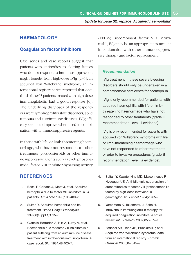#### **HAEMATOLOGY**

#### **Coagulation factor inhibitors**

Case series and case reports suggest that patients with antibodies to clotting factors who do not respond to immunosuppression might benefit from high-dose IVIg [1–5]. In acquired von Willebrand syndrome, an international registry series reported that onethird of the 63 patients treated with high-dose immunoglobulin had a good response [6]. The underlying diagnoses of the responders were lymphoproliferative disorders, solid tumours and autoimmune diseases. IVIg efficacy seems to improve when used in combination with immunosuppressive agents.

In those with life- or limb-threatening haemorrhage, who have not responded to other treatments [corticosteroids or other immunosuppressive agents such as cyclophosphamide, factor VIII inhibitor-bypassing activity

#### **References**

- 1. Bossi P, Cabane J, Ninet J, et al. Acquired hemophilia due to factor VIII inhibitors in 34 patients. *Am J Med* 1998;105:400–8.
- 2. Sultan Y. Acquired hemophilia and its treatment. *Blood Coagul Fibrinolysis*  1997;8(suppl 1):S15–8.
- 3. Gianella-Borradori A, Hirt A, Luthy A, et al. Haemophilia due to factor VIII inhibitors in a patient suffering from an autoimmune disease: treatment with intravenous immunoglobulin. A case report. *Blut* 1984;48:403–7.

(FEIBA), recombinant factor VIIa, rituximab], IVIg may be an appropriate treatment in conjunction with other immunosuppressive therapy and factor replacement.

#### *Recommendation*

IVIg treatment in these severe bleeding disorders should only be undertaken in a comprehensive care centre for haemophilia.

IVIg is only recommended for patients with acquired haemophilia with life or limbthreatening haemorrhage who have not responded to other treatments (grade C recommendation, level III evidence).

IVIg is only recommended for patients with acquired von Willebrand syndrome with life or limb-threatening haemorrhage who have not responded to other treatments, or prior to invasive procedures (grade B recommendation, level IIa evidence).

- 4. Sultan Y, Kazatchkine MD, Maisonneuve P, Nydegger UE. Anti-idiotypic suppression of autoantibodies to factor VIII (antihaemophilic factor) by high-dose intravenous gammaglobulin. *Lancet* 1984;2:765–8.
- 5. Yamamoto K, Takamatsu J, Saito H. Intravenous immunoglobulin therapy for acquired coagulation inhibitors: a critical review. *Int J Hematol* 2007;85:287–93.
- 6. Federici AB, Rand JH, Bucciarelli P, et al. Acquired von Willebrand syndrome: data from an international registry. *Thromb Haemost* 2000;84:345–9.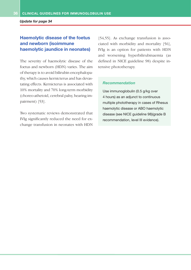*Update for page 34*

#### **Haemolytic disease of the foetus and newborn (isoimmune haemolytic jaundice in neonates)**

The severity of haemolytic disease of the foetus and newborn (HDN) varies. The aim of therapy is to avoid bilirubin encephalopathy, which causes kernicterus and has devastating effects. Kernicterus is associated with 10% mortality and 70% long-term morbidity (choreo-athetoid, cerebral palsy, hearing impairment) [53].

Two systematic reviews demonstrated that IVIg significantly reduced the need for exchange transfusion in neonates with HDN

[54,55]. As exchange transfusion is associated with morbidity and mortality [56], IVIg is an option for patients with HDN and worsening hyperbilirubinaemia (as defined in NICE guideline 98) despite intensive phototherapy.

#### *Recommendation*

Use immunoglobulin (0.5 g/kg over 4 hours) as an adjunct to continuous multiple phototherapy in cases of Rhesus haemolytic disease or ABO haemolytic disease (see NICE guideline 98)(grade B recommendation, level III evidence).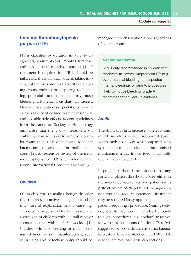#### **Immune thrombocytopenic purpura (ITP)**

ITP is classified by duration into newly diagnosed, persistent (3–12 months duration) and chronic  $(\geq 12$  months duration) [1]. If treatment is required for ITP, it should be tailored to the individual patient, taking into account the presence and severity of bleeding, co-morbidities predisposing to bleeding, potential interactions that may cause bleeding, ITP medications that may cause a bleeding risk, patients expectations, as well as the rapidity of desired platelet count rise and possible side-effects. Recent guidelines from the American Society of Hematology emphasise that the goal of treatment (in children, or in adults) is to achieve a platelet count that is associated with adequate haemostasis, rather than a "normal" platelet count [2]. An extensive review of the treatment options for ITP is provided by the recent International Consensus Report [3].

#### *Children*

ITP in children is usually a benign disorder that requires no active management other than careful explanation and counselling. This is because serious bleeding is rare, and about 80% of children with ITP will recover spontaneously within 6–8 weeks [4]. Children with no bleeding or mild bleeding (defined as skin manifestations, such as bruising and petechiae only) should be managed with observation alone regardless of platelet count.

#### *Recommendation*

IVIg is only recommended in children with moderate-to-severe symptomatic ITP (e.g. overt mucosal bleeding, or suspected internal bleeding), or prior to procedures likely to induce bleeding (grade A recommendation, level Ib evidence).

#### *Adults*

The ability of IVIg to increase platelet counts in ITP in adults is well supported [5–8]. When high-dose IVIg was compared with systemic corticosteroids in randomised multicentre trials, it provided a clinically relevant advantage [5,8].

In pregnancy, there is no evidence that any particular platelet threshold is 'safe' either in the ante- or peri-partum period; patients with platelet counts of 20–30 x109/L or higher do not routinely require treatment. Treatment may be required for symptomatic patients or patients requiring a procedure. Nearing delivery, patients may need higher platelet counts to allow procedures (e.g. epidural anaesthesia with platelet counts of at least 75 x109/L suggested by obstetric anaesthetists; haematologists believe a platelet count of 50 x109/L is adequate to allow Caesarean section).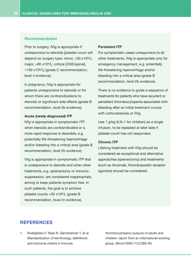#### *Recommendation*

Prior to surgery, IVIg is appropriate if unresponsive to steroids [platelet count will depend on surgery type: minor, >50 x109/L; major, >80 x109/L; critical (CNS/spinal), >100 x109/L] (grade C recommendation, level 4 evidence).

In pregnancy, IVIg is appropriate for patients unresponsive to steroids or for whom there are contraindications to steroids or significant side effects (grade B) recommendation, level 2b evidence).

#### **Acute (newly diagnosed) ITP**

IVIg is appropriate in symptomatic ITP when steroids are contraindicated or a more rapid response is desirable, e.g. potentially life-threatening haemorrhage and/or bleeding into a critical area (grade B recommendation, level 2b evidence).

IVIg is appropriate in symptomatic ITP that is unresponsive to steroids and when other treatments, e.g. splenectomy or immunosuppression, are considered inappropriate, aiming to keep patients symptom free. In such patients, the goal is to achieve platelet counts >30 x109/L (grade B recommendation, level 2c evidence).

#### **Persistent ITP**

For symptomatic cases unresponsive to all other treatments, IVIg is appropriate only for emergency management, e.g. potentially life-threatening haemorrhage and/or bleeding into a critical area (grade B recommendation, level 2b evidence).

There is no evidence to quide a sequence of treatments for patients who have recurrent or persistent thrombocytopenia associated with bleeding after an initial treatment course with corticosteroids or IVIg.

Use 1 g/kg (0.8–1 for children) as a single infusion, to be repeated at later date if platelet count has not responded.

#### **Chronic ITP**

Lifelong treatment with IVIg should be considered as exceptional and alternative approaches (splenectomy) and treatments (such as rituximab, thrombopoietin receptor agonists) should be considered.

#### **References**

1. Rodeghiero F, Stasi R, Gernsheimer T, et al. Standardization of terminology, definitions and outcome criteria in immune

thrombocytopenic purpura of adults and children: report from an international working group. *Blood* 2009;113:2386–93.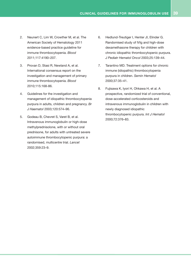- 2. Neunert C, Lim W, Crowther M, et al. The American Society of Hematology 2011 evidence-based practice guideline for immune thrombocytopenia. *Blood*  2011;117:4190–207.
- 3. Provan D, Stasi R, Newland A, et al. International consensus report on the investigation and management of primary immune thrombocytopenia. *Blood*  2010;115:168-86.
- 4. Guidelines for the investigation and management of idiopathic thrombocytopenia purpura in adults, children and pregnancy. *Br J Haematol* 2003;120:574–96.
- 5. Godeau B, Chevret S, Varet B, et al. Intravenous immunoglobulin or high-dose methylprednisolone, with or without oral prednisone, for adults with untreated severe autoimmune thrombocytopenic purpura: a randomised, multicentre trial. *Lancet* 2002;359:23–9.
- 6. Hedlund-Treutiger I, Henter JI, Elinder G. Randomised study of IVIg and high-dose dexamethasone therapy for children with chronic idiopathic thrombocytopenic purpura. *J Pediatr Hematol Oncol* 2003;25:139–44.
- 7. Tarantino MD. Treatment options for chronic immune (idiopathic) thrombocytopenia purpura in children. *Semin Hematol* 2000;37:35–41.
- 8. Fujisawa K, Iyori H, Ohkawa H, et al. A prospective, randomized trial of conventional, dose-accelerated corticosteroids and intravenous immunoglobulin in children with newly diagnosed idiopathic thrombocytopenic purpura. *Int J Hematol* 2000;72:376–83.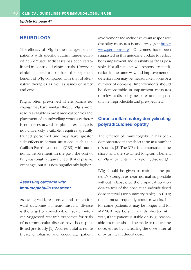*Update for page 41*

#### **NEUROLOGY**

The efficacy of IVIg in the management of patients with specific autoimmune-mediated neuromuscular diseases has been established in controlled clinical trials. However, clinicians need to consider the expected benefit of IVIg compared with that of alternative therapies as well as issues of safety and cost.

IVIg is often prescribed where plasma exchange may have similar efficacy. IVIg is more readily available in most medical centres and placement of an indwelling venous catheter is not necessary, while plasma exchange is not universally available, requires specially trained personnel and may have greater side effects in certain situations, such as in Guillain-Barré syndrome (GBS) with autonomic involvement. In the past, the cost of IVIg was roughly equivalent to that of plasma exchange, but it is now significantly higher.

#### *Assessing outcome with immunoglobulin treatment*

Assessing valid, responsive and straightforward outcomes in neuromuscular disease is the target of considerable research interest. Suggested research outcomes for trials of neuromuscular disease have been published previously [1]. A current trial to refine these, emphasise and encourage patient involvement and include relevant responsive disability measures is underway (see http:// www.perinoms.org). Outcomes have been suggested in this guideline update to reflect both impairment and disability as far as possible. Not all patients will respond to medication in the same way, and improvement or deterioration may be measurable in one or a number of domains. Improvements should be demonstrable in impairment measures or relevant disability measures and be quantifiable, reproducible and pre-specified.

#### **Chronic inflammatory demyelinating polyradiculoneuropathy**

The efficacy of immunoglobulin has been demonstrated in the short term in a number of studies [2] The ICE trial demonstrated the short- and the sustained long-term benefit of IVIg in patients with ongoing disease [3].

IVIg should be given to maintain the patient's strength as near normal as possible without relapses, by the empirical titration downwards of the dose at an individualised dose interval (see summary table). In CIDP, this is most frequently about 6 weeks, but for some patients it may be longer and for MMNCB may be significantly shorter. At 1 year, if the patient is stable on IVIg, reasonable attempts should be made to reduce the dose, either by increasing the dose interval or by using a reduced dose.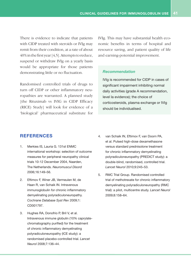There is evidence to indicate that patients with CIDP treated with steroids or IVIg may remit from their condition, at a rate of about 40% in the first year [4,5]. Attempts to reduce, suspend or withdraw IVIg on a yearly basis would be appropriate for those patients demonstrating little or no fluctuation.

Randomised controlled trials of drugs to turn off CIDP or other inflammatory neuropathies are warranted. A planned study [the Rituximab vs IVIG in CIDP Efficacy (RICE) Study] will look for evidence of a 'biological' pharmaceutical substitute for IVIg. This may have substantial health economic benefits in terms of hospital and resource saving, and patient quality of life and earning-potential improvement.

#### *Recommendation*

IVIg is recommended for CIDP in cases of significant impairment inhibiting normal daily activities (grade A recommendation, level Ia evidence); the choice of corticosteroids, plasma exchange or IVIg should be individualised.

#### **References**

- 1. Merkies IS, Lauria G. 131st ENMC international workshop: selection of outcome measures for peripheral neuropathy clinical trials 10-12 December 2004, Naarden, The Netherlands. *Neuromuscul Disord* 2006;16:149–56.
- 2. Eftimov F, Winer JB, Vermeulen M, de Haan R, van Schaik IN. Intravenous immunoglobulin for chronic inflammatory demyelinating polyradiculoneuropathy. *Cochrane Database Syst Rev* 2009;1: CD001797.
- 3. Hughes RA, Donofrio P, Bril V, et al. Intravenous immune globulin (10% caprylatechromatography purified) for the treatment of chronic inflammatory demyelinating polyradiculoneuropathy (ICE study): a randomised placebo-controlled trial. *Lancet Neurol* 2008;7:136–44.
- 4. van Schaik IN, Eftimov F, van Doorn PA, et al. Pulsed high-dose dexamethasone versus standard prednisolone treatment for chronic inflammatory demyelinating polyradiculoneuropathy (PREDICT study): a double-blind, randomised, controlled trial. *Lancet Neurol* 2010;9:245–53.
- 5. RMC Trial Group. Randomised controlled trial of methotrexate for chronic inflammatory demyelinating polyradiculoneuropathy (RMC trial): a pilot, multicentre study. *Lancet Neurol*  2009;8:158–64.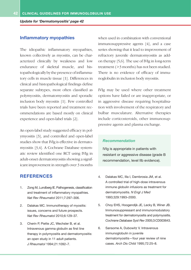*Update for 'Dermatomyositis' page 42*

#### **Inflammatory myopathies**

The idiopathic inflammatory myopathies, known collectively as myositis, can be characterized clinically by weakness and low endurance of skeletal muscle, and histopathologically by the presence of inflammatory cells in muscle tissue [1]. Differences in clinical and histopathological findings define separate subtypes, most often classified as polymyositis, dermatomyositis and sporadic inclusion body myositis [1]. Few controlled trials have been reported and treatment recommendations are based mostly on clinical experience and open-label trials [2].

An open-label study suggested efficacy in polymyositis [3], and controlled and open-label studies show that IVIg is effective in dermatomyositis [3,4]. A Cochrane Database systematic review identified one RCT using IVIg in adult-onset dermatomyositis showing a significant improvement in strength over 3 months

#### **References**

- 1. Zong M, Lundberg IE. Pathogenesis, classification and treatment of inflammatory myopathies. *Nat Rev Rheumatol* 2011;7:297–306.
- 2. Dalakas MC. Immunotherapy of myositis: issues, concerns and future prospects. *Nat Rev Rheumatol* 2010;6:129–37.
- 3. Cherin P, Piette JC, Wechsler B, et al. Intravenous gamma globulin as first line therapy in polymyositis and dermatomyositis: an open study in 11 adult patients. *J Rheumatol* 1994;21:1092–7.

when used in combination with conventional immunosuppressive agents [4], and a case series showing that it lead to improvement of refractory juvenile dermatomyositis as addon therapy [5,6]. The use of IVIg in long-term treatment (>3 months) has not been studied. There is no evidence of efficacy of immunoglobulin in inclusion body myositis.

IVIg may be used where other treatment options have failed or are inappropriate, or in aggressive disease requiring hospitalisation with involvement of the respiratory and bulbar musculature. Alternative therapies include corticosteroids, other immunosuppressive agents and plasma exchange.

#### *Recommendation*

IVIg is appropriate in patients with resistant or aggressive disease (grade B recommendation, level IIb evidence).

- 4. Dalakas MC, Illa I, Dambrosia JM, et al. A controlled trial of high-dose intravenous immune globulin infusions as treatment for dermatomyositis. *N Engl J Med*  1993;329:1993–2000.
- 5. Choy EHS, Hoogendijk JE, Lecky B, Winer JB. Immunosuppressant and immunomodulatory treatment for dermatomyositis and polymyositis. *Cochrane Database Syst Rev* 2005;3:CD003643.
- 6. Sansome A, Dubowitz V. Intravenous immunoglobulin in juvenile dermatomyositis—four year review of nine cases. *Arch Dis Child* 1995;72:25–8.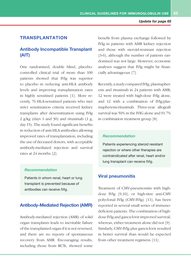#### **TRANSPLANTATION**

#### **Antibody Incompatible Transplant (AIT)**

One randomised, double blind, placebocontrolled clinical trial of more than 100 patients showed that IVIg was superior to placebo in reducing anti-HLA antibody levels and improving transplantation rates in highly sensitised patients [1]. More recently, 76 HLA-sensitized patients who met strict sensitization criteria received kidney transplants after desensitization using IVIg 2 g/kg (days 1 and 30) and rituximab  $(1 \text{ g})$ , day 15). The study found significant benefits in reduction of anti-HLA antibodies allowing improved rates of transplantation, including the use of deceased donors, with acceptable antibody-mediated rejection and survival rates at 24 months [2].

#### *Recommendation*

Patients in whom renal, heart or lung transplant is prevented because of antibodies can receive IVIg.

#### **Antibody-Mediated Rejection (AMR)**

Antibody-mediated rejection (AMR) of solid organ transplants leads to inevitable failure of the transplanted organ if it is not reversed, and there are no reports of spontaneous recovery from AMR. Encouraging results, including those from RCTs, showed some

benefit from plasma exchange followed by IVIg in patients with AMR kidney rejection and those with steroid-resistant rejection [3-6], although the number of patients randomised was not large. However, economic analyses suggest that IVIg might be financially advantageous [7].

Recently, a study compared IVIg, plasmapheresis and rituximab in 24 patients with AMR; 12 were treated with high-dose IVIg alone, and 12 with a combination of IVIg/plasmapheresis/rituximab. Three-year allograft survival was 50% in the IVIG alone and 91.7% in combination treatment group [8].

#### *Recommendation*

Patients experiencing steroid resistant rejection or where other therapies are contraindicated after renal, heart and/or lung transplant can receive IVIg.

#### **Viral pneumonitis**

Treatment of CMV-pneumonitis with highdose IVIg [9,10], or high-titre anti-CMV polyclonal IVIg (CMV-IVIg) [11], has been reported in several small series of immunodeficient patients. The combination of highdose IVIg and ganciclovir improved survival; whereas, either treatment alone did not [9]. Similarly, CMV-IVIg plus ganciclovir resulted in better survival than would be expected from other treatment regimens [11].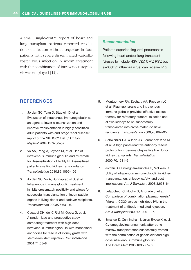A small, single-centre report of heart and lung transplant patients reported resolution of infection without sequelae in four patients with severe disseminated varicellazoster virus infection in whom treatment with the combination of intravenous acyclovir was employed [12].

#### *Recommendation*

Patients experiencing viral pneumonitis following heart and/or lung transplant (viruses to include HSV, VZV, CMV, RSV, but *excluding* influenza virus) can receive IVIg.

#### **References**

- 1. Jordan SC, Tyan D, Stablein D, et al. Evaluation of intravenous immunoglobulin as an agent to lower allosensitization and improve transplantation in highly sensitized adult patients with end-stage renal disease: report of the NIH IG02 trial. *J Am Soc Nephrol* 2004;15:3256–62.
- 2. Vo AA, Peng A, Toyoda M, et al. Use of intravenous immune globulin and rituximab for desensitization of highly HLA-sensitized patients awaiting kidney transplantation. *Transplantation* 2010;89:1095–102.
- 3. Jordan SC, Vo A, Bunnapradist S, et al. Intravenous immune globulin treatment inhibits crossmatch positivity and allows for successful transplantation of incompatible organs in living-donor and cadaver recipients. *Transplantation* 2003;76:631–6.
- 4. Casadei DH, del C Rial M, Opelz G, et al. A randomized and prospective study comparing treatment with high-dose intravenous immunoglobulin with monoclonal antibodies for rescue of kidney grafts with steroid-resistant rejection. *Transplantation* 2001;71:53–8.
- 5. Montgomery RA, Zachary AA, Racusen LC, et al. Plasmapheresis and intravenous immune globulin provides effective rescue therapy for refractory humoral rejection and allows kidneys to be successfully transplanted into cross-match-positive recipients. *Transplantation* 2000;70:887–95.
- 6. Schweitzer EJ, Wilson JS, Fernandez-Vina M, et al. A high panel-reactive antibody rescue protocol for cross-match-positive live donor kidney transplants. *Transplantation* 2000;70:1531–6.
- 7. Jordan S, Cunningham-Rundles C, McEwan R. Utility of intravenous immune globulin in kidney transplantation: efficacy, safety, and cost implications. *Am J Transplant* 2003;3:653–64.
- 8. Lefaucheur C, Nochy D, Andrade J, et al. Comparison of combination plasmapheresis/ IVIg/anti-CD20 versus high-dose IVIg in the treatment of antibody-mediated rejection. *Am J Transplant* 2009;9:1099–107.
- 9. Emanuel D, Cunningham I, Jules-Elysee K, et al. Cytomegalovirus pneumonia after bone marrow transplantation successfully treated with the combination of ganciclovir and highdose intravenous immune globulin. *Ann Intern Med* 1988;109:777–82.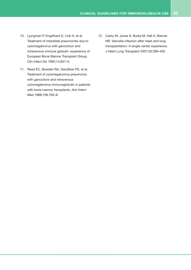- 10. Ljungman P, Engelhard D, Link H, et al. Treatment of interstitial pneumonitis due to cytomegalovirus with ganciclovir and intravenous immune globulin: experience of European Bone Marrow Transplant Group. *Clin Infect Dis* 1992;14:831–5.
- 11. Reed EC, Bowden RA, Dandliker PS, et al. Treatment of cytomegalovirus pneumonia with ganciclovir and intravenous cytomegalovirus immunoglobulin in patients with bone marrow transplants. *Ann Intern Med* 1988;109:783–8.
- 12. Carby M, Jones A, Burke M, Hall A, Banner NR. Varicella infection after heart and lung transplantation: A single-center experience. *J Heart Lung Transplant* 2007;26:399–402.